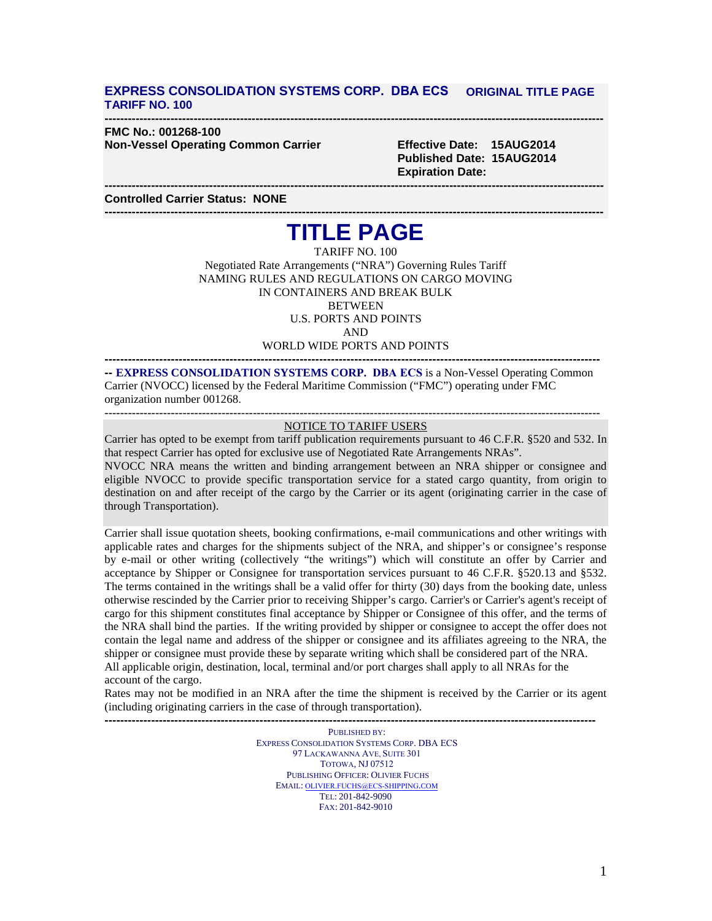## **EXPRESS CONSOLIDATION SYSTEMS CORP. DBA ECS ORIGINAL TITLE PAGE TARIFF NO. 100**

#### **--------------------------------------------------------------------------------------------------------------------------------- FMC No.: 001268-100 Non-Vessel Operating Common Carrier Effective Date: 15AUG2014**

**Published Date: 15AUG2014 Expiration Date:**

**--------------------------------------------------------------------------------------------------------------------------------- Controlled Carrier Status: NONE**

## **--------------------------------------------------------------------------------------------------------------------------------- TITLE PAGE**

TARIFF NO. 100 Negotiated Rate Arrangements ("NRA") Governing Rules Tariff NAMING RULES AND REGULATIONS ON CARGO MOVING IN CONTAINERS AND BREAK BULK **BETWEEN** U.S. PORTS AND POINTS AND

WORLD WIDE PORTS AND POINTS **-------------------------------------------------------------------------------------------------------------------------------**

**-- EXPRESS CONSOLIDATION SYSTEMS CORP. DBA ECS** is a Non-Vessel Operating Common Carrier (NVOCC) licensed by the Federal Maritime Commission ("FMC") operating under FMC organization number 001268.

## **------------------------------------------------------------------------------------------------------------------------------- --** NOTICE TO TARIFF USERS

Carrier has opted to be exempt from tariff publication requirements pursuant to 46 C.F.R. §520 and 532. In that respect Carrier has opted for exclusive use of Negotiated Rate Arrangements NRAs".

NVOCC NRA means the written and binding arrangement between an NRA shipper or consignee and eligible NVOCC to provide specific transportation service for a stated cargo quantity, from origin to destination on and after receipt of the cargo by the Carrier or its agent (originating carrier in the case of through Transportation).

Carrier shall issue quotation sheets, booking confirmations, e-mail communications and other writings with applicable rates and charges for the shipments subject of the NRA, and shipper's or consignee's response by e-mail or other writing (collectively "the writings") which will constitute an offer by Carrier and acceptance by Shipper or Consignee for transportation services pursuant to 46 C.F.R. §520.13 and §532. The terms contained in the writings shall be a valid offer for thirty (30) days from the booking date, unless otherwise rescinded by the Carrier prior to receiving Shipper's cargo. Carrier's or Carrier's agent's receipt of cargo for this shipment constitutes final acceptance by Shipper or Consignee of this offer, and the terms of the NRA shall bind the parties. If the writing provided by shipper or consignee to accept the offer does not contain the legal name and address of the shipper or consignee and its affiliates agreeing to the NRA, the shipper or consignee must provide these by separate writing which shall be considered part of the NRA. All applicable origin, destination, local, terminal and/or port charges shall apply to all NRAs for the account of the cargo.

Rates may not be modified in an NRA after the time the shipment is received by the Carrier or its agent (including originating carriers in the case of through transportation).

**-------------------------------------------------------------------------------------------------------------------------------** PUBLISHED BY: EXPRESS CONSOLIDATION SYSTEMS CORP. DBA ECS 97 LACKAWANNA AVE, SUITE 301 TOTOWA, NJ 07512 PUBLISHING OFFICER: OLIVIER FUCHS EMAIL: [OLIVIER.FUCHS@ECS-SHIPPING](mailto:michel.f@garnett-group.com).COM TEL: 201-842-9090 FAX: 201-842-9010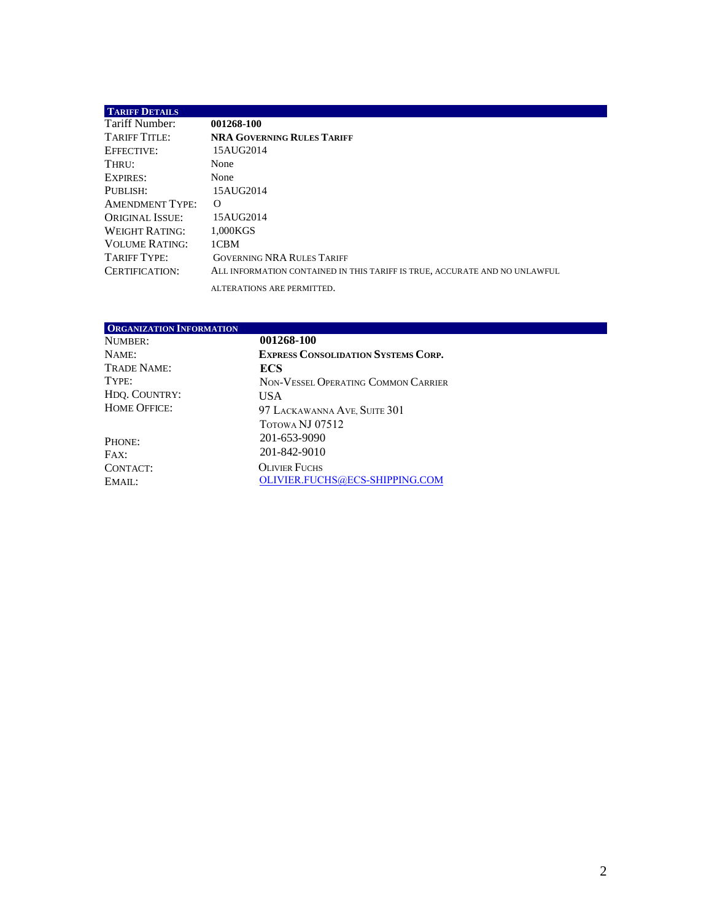## **TARIFF DETAILS** Tariff Number: 001268-100<br>TARIFF TITLE: NRA GOVER **NRA GOVERNING RULES TARIFF** EFFECTIVE: 15AUG2014<br>THRU: None THRU: EXPIRES: None PUBLISH: 15AUG2014<br>AMENDMENT TYPE: O AMENDMENT TYPE: O<br>ORIGINAL ISSUE: 15AUG2014 ORIGINAL ISSUE: WEIGHT RATING: 1,000KGS<br>VOLUME RATING: 1CBM VOLUME RATING:<br>TARIFF TYPE: GOVERNING NRA RULES TARIFF CERTIFICATION: ALL INFORMATION CONTAINED IN THIS TARIFF IS TRUE, ACCURATE AND NO UNLAWFUL ALTERATIONS ARE PERMITTED.

<span id="page-1-0"></span>

| ORGANIZATION INFORMATION |                                            |
|--------------------------|--------------------------------------------|
| NUMBER:                  | 001268-100                                 |
| NAME:                    | <b>EXPRESS CONSOLIDATION SYSTEMS CORP.</b> |
| TRADE NAME:              | <b>ECS</b>                                 |
| TYPE:                    | NON-VESSEL OPERATING COMMON CARRIER        |
| HDQ. COUNTRY:            | <b>USA</b>                                 |
| <b>HOME OFFICE:</b>      | 97 LACKAWANNA AVE, SUITE 301               |
|                          | TOTOWA NJ 07512                            |
| PHONE:                   | 201-653-9090                               |
| FAX:                     | 201-842-9010                               |
| CONTACT:                 | <b>OLIVIER FUCHS</b>                       |
| EMAIL:                   | OLIVIER.FUCHS@ECS-SHIPPING.COM             |
|                          |                                            |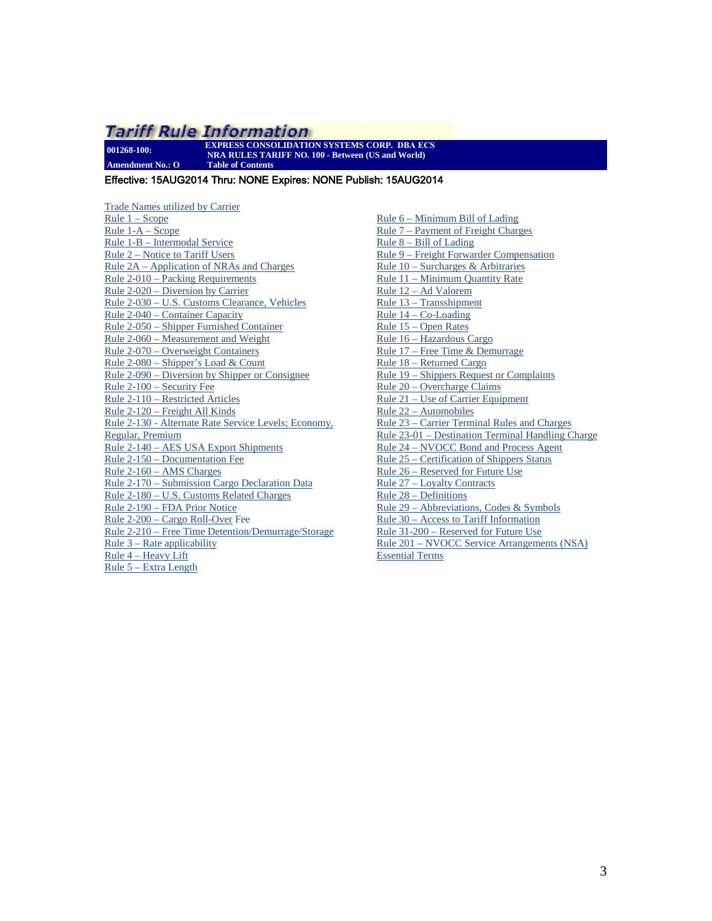<span id="page-2-0"></span>**001268-100: EXPRESS CONSOLIDATION SYSTEMS CORP. DBA ECS NRA RULES TARIFF NO. 100 - Between (US and World) Amendment No.: O Table of Contents**

## Effective: 15AUG2014 Thru: NONE Expires: NONE Publish: 15AUG2014

[Trade Names utilized by Carrier](#page-1-0)  $Rule 1 - Score$ Rule 1-A – Scope [Rule 1-B – Intermodal Service](#page-5-0) [Rule 2 – Notice to Tariff Users](#page-5-1) [Rule 2A – Application of NRAs](#page-5-2) and Charges [Rule 2-010 – Packing Requirements](#page-6-0) [Rule 2-020 – Diversion by Carrier](#page-7-0) [Rule 2-030 – U.S. Customs Clearance, Vehicles](#page-7-1)  [Rule 2-040 – Container Capacity](#page-7-2) [Rule 2-050 – Shipper Furnished Container](#page-7-3) [Rule 2-060 – Measurement and Weight](#page-8-0) [Rule 2-070 – Overweight Containers](#page-8-1) [Rule 2-080 – Shipper's Load & Count](#page-9-0) [Rule 2-090 – Diversion by Shipper or Consignee](#page-9-1) [Rule 2-100 – Security Fee](#page-10-0)  [Rule 2-110 – Restricted Articles](#page-10-1) [Rule 2-120 – Freight All Kinds](#page-11-0) [Rule 2-130 - Alternate Rate Service Levels; Economy,](#page-11-1)  [Regular, Premium](#page-11-1) [Rule 2-140 – AES USA Export Shipments](#page-11-2) [Rule 2-150 – Documentation Fee](#page-11-3) [Rule 2-160 – AMS Charges](#page-11-4) [Rule 2-170 – Submission Cargo Declaration Data](#page-11-5) [Rule 2-180 – U.S. Customs Related Charges](#page-13-0)  [Rule 2-190 – FDA Prior Notice](#page-13-1) [Rule 2-200 – Cargo Roll-Over](#page-14-0) Fee [Rule 2-210 – Free Time Detention/Demurrage/Storage](#page-14-1)  [Rule 3 – Rate applicability](#page-15-0) [Rule 4 – Heavy Lift](#page-15-1) [Rule 5 – Extra Length](#page-15-2)

[Rule 6 – Minimum Bill of Lading](#page-15-3) [Rule 7 – Payment of Freight Charges](#page-15-4) Rule 8 – Bill of Lading [Rule 9 – Freight Forwarder Compensation](#page-19-0) [Rule 10 – Surcharges & Arbitraries](#page-19-1) [Rule 11 – Minimum Quantity Rate](#page-19-2) [Rule 12 – Ad Valorem](#page-19-3) [Rule 13 – Transshipment](#page-20-0) [Rule 14 – Co-Loading](#page-20-1) [Rule 15 – Open Rates](#page-20-2) [Rule 16 – Hazardous Cargo](#page-20-3) [Rule 17 – Free Time & Demurrage](#page-21-0) [Rule 18 – Returned Cargo](#page-21-1) [Rule 19 – Shippers Request or Complaints](#page-21-2) [Rule 20 – Overcharge Claims](#page-21-3) [Rule 21 – Use of Carrier Equipment](#page-22-0) [Rule 22 – Automobiles](#page-22-1) [Rule 23 – Carrier Terminal Rules and Charges](#page-22-2) [Rule 23-01 – Destination Terminal Handling Charge](#page-22-3) [Rule 24 – NVOCC Bond and Process Agent](#page-23-0) [Rule 25 – Certification of Shippers Status](#page-23-1) [Rule 26 – Reserved for Future Use](#page-23-2) [Rule 27 – Loyalty Contracts](#page-23-3) [Rule 28 – Definitions](#page-24-0) [Rule 29 – Abbreviations, Codes & Symbols](#page-25-0) [Rule 30 – Access to Tariff Information](#page-26-0) [Rule 31-200 – Reserved for Future Use](#page-26-1) [Rule 201 – NVOCC Service Arrangements \(NSA\)](#page-27-0)  [Essential Terms](#page-27-0)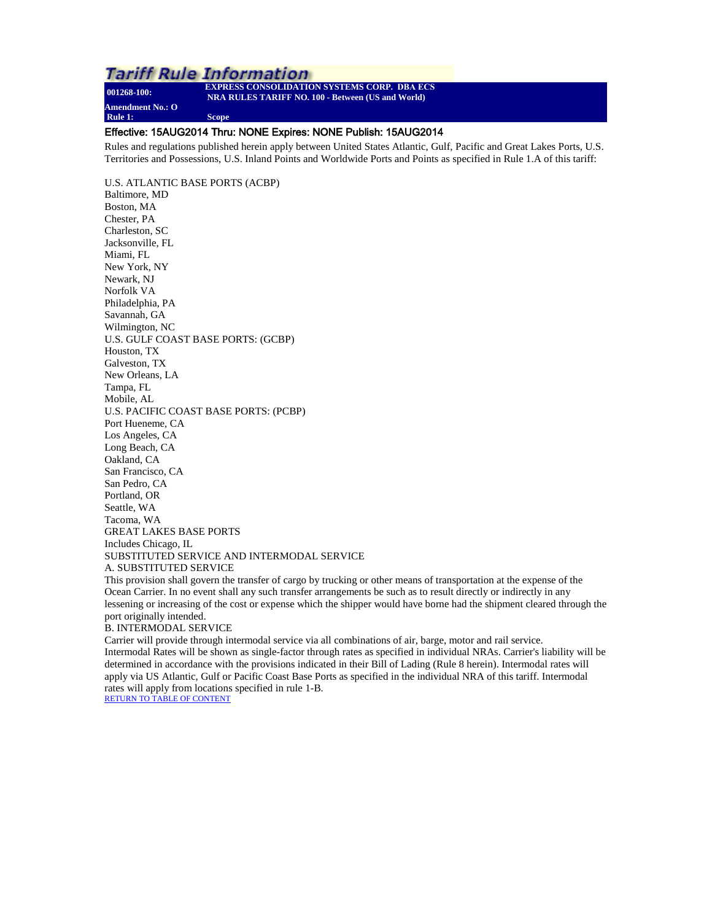<span id="page-3-0"></span>**001268-100: EXPRESS CONSOLIDATION SYSTEMS CORP. DBA ECS NRA RULES TARIFF NO. 100 - Between (US and World) Amendment No.: O Rule 1: Scope**

## Effective: 15AUG2014 Thru: NONE Expires: NONE Publish: 15AUG2014

Rules and regulations published herein apply between United States Atlantic, Gulf, Pacific and Great Lakes Ports, U.S. Territories and Possessions, U.S. Inland Points and Worldwide Ports and Points as specified in Rule 1.A of this tariff:

U.S. ATLANTIC BASE PORTS (ACBP) Baltimore, MD Boston, MA Chester, PA Charleston, SC Jacksonville, FL Miami, FL New York, NY Newark, NJ Norfolk VA Philadelphia, PA Savannah, GA Wilmington, NC U.S. GULF COAST BASE PORTS: (GCBP) Houston, TX Galveston, TX New Orleans, LA Tampa, FL Mobile, AL U.S. PACIFIC COAST BASE PORTS: (PCBP) Port Hueneme, CA Los Angeles, CA Long Beach, CA Oakland, CA San Francisco, CA San Pedro, CA Portland, OR Seattle, WA Tacoma, WA GREAT LAKES BASE PORTS Includes Chicago, IL SUBSTITUTED SERVICE AND INTERMODAL SERVICE A. SUBSTITUTED SERVICE

This provision shall govern the transfer of cargo by trucking or other means of transportation at the expense of the Ocean Carrier. In no event shall any such transfer arrangements be such as to result directly or indirectly in any lessening or increasing of the cost or expense which the shipper would have borne had the shipment cleared through the port originally intended.

#### B. INTERMODAL SERVICE

Carrier will provide through intermodal service via all combinations of air, barge, motor and rail service. Intermodal Rates will be shown as single-factor through rates as specified in individual NRAs. Carrier's liability will be determined in accordance with the provisions indicated in their Bill of Lading (Rule 8 herein). Intermodal rates will apply via US Atlantic, Gulf or Pacific Coast Base Ports as specified in the individual NRA of this tariff. Intermodal rates will apply from locations specified in rule 1-B. [RETURN TO TABLE OF CONTENT](#page-2-0)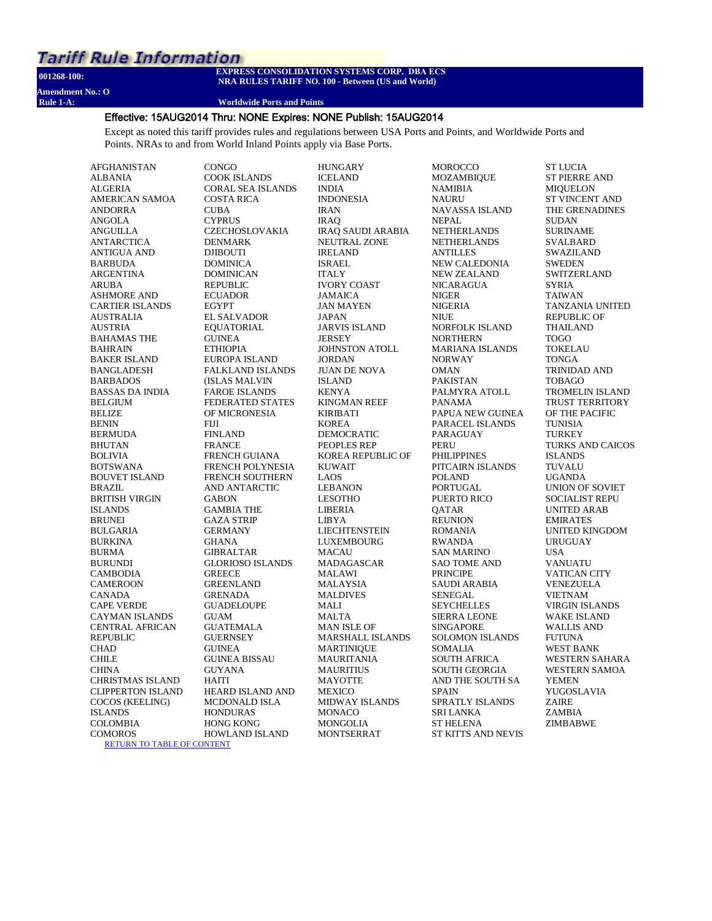**Amendment No.: O**

#### **001268-100: EXPRESS CONSOLIDATION SYSTEMS CORP. DBA ECS NRA RULES TARIFF NO. 100 - Between (US and World)**

#### **Worldwide Ports and Points**

### Effective: 15AUG2014 Thru: NONE Expires: NONE Publish: 15AUG2014

Except as noted this tariff provides rules and regulations between USA Ports and Points, and Worldwide Ports and Points. NRAs to and from World Inland Points apply via Base Ports.

**HUNGARY** 

AFGHANISTAN ALBANIA ALGERIA AMERICAN SAMOA ANDORRA ANGOLA ANGUILLA ANTARCTICA ANTIGUA AND BARBUDA ARGENTINA ARUBA ASHMORE AND CARTIER ISLANDS AUSTRALIA AUSTRIA BAHAMAS THE BAHRAIN BAKER ISLAND BANGLADESH BARBADOS BASSAS DA INDIA BELGIUM BELIZE BENIN BERMUDA **BHUTAN** BOLIVIA BOTSWANA BOUVET ISLAND BRAZIL BRITISH VIRGIN ISLANDS BRUNEI BULGARIA BURKINA BURMA BURUNDI CAMBODIA CAMEROON CANADA CAPE VERDE CAYMAN ISLANDS CENTRAL AFRICAN REPUBLIC CHAD CHILE **CHINA** CHRISTMAS ISLAND CLIPPERTON ISLAND COCOS (KEELING) ISLANDS COLOMBIA **COMOROS** [RETURN TO TABLE OF CONTENT](#page-2-0)

**CONGO** COOK ISLANDS CORAL SEA ISLANDS COSTA RICA **CUBA CYPRUS** CZECHOSLOVAKIA DENMARK DJIBOUTI DOMINICA DOMINICAN REPUBLIC ECUADOR EGYPT EL SALVADOR EQUATORIAL GUINEA ETHIOPIA EUROPA ISLAND FALKLAND ISLANDS (ISLAS MALVIN FAROE ISLANDS FEDERATED STATES OF MICRONESIA FIJI FINLAND FRANCE FRENCH GUIANA FRENCH POLYNESIA FRENCH SOUTHERN AND ANTARCTIC **GABON** GAMBIA THE GAZA STRIP **GERMANY GHANA** GIBRALTAR GLORIOSO ISLANDS **GREECE** GREENLAND GRENADA GUADELOUPE **GUAM** GUATEMALA **GUERNSEY** GUINEA GUINEA BISSAU GUYANA HAITI HEARD ISLAND AND MCDONALD ISLA **HONDURAS** HONG KONG HOWLAND ISLAND

ICELAND INDIA INDONESIA IRAN IRAQ IRAQ SAUDI ARABIA NEUTRAL ZONE IRELAND ISRAEL ITALY IVORY COAST JAMAICA JAN MAYEN JAPAN JARVIS ISLAND **JERSEY** JOHNSTON ATOLL JORDAN JUAN DE NOVA ISLAND KENYA KINGMAN REEF **KIRIBATI** KOREA DEMOCRATIC PEOPLES REP KOREA REPUBLIC OF KUWAIT LAOS LEBANON LESOTHO LIBERIA LIBYA **LIECHTENSTEIN** LUXEMBOURG MACAU MADAGASCAR MALAWI **MALAYSIA** MALDIVES MALI **MALTA** MAN ISLE OF MARSHALL ISLANDS MARTINIQUE MAURITANIA MAURITIUS MAYOTTE MEXICO MIDWAY ISLANDS **MONACO** MONGOLIA **MONTSERRAT** 

MOZAMBIQUE NAMIBIA NAURU NAVASSA ISLAND NEPAL NETHERLANDS NETHERLANDS **ANTILLES** NEW CALEDONIA NEW ZEALAND NICARAGUA NIGER NIGERIA NIUE NORFOLK ISLAND NORTHERN MARIANA ISLANDS NORWAY **OMAN** PAKISTAN PALMYRA ATOLL PANAMA PAPUA NEW GUINEA PARACEL ISLANDS PARAGUAY **PERU** PHILIPPINES PITCAIRN ISLANDS POLAND PORTUGAL PUERTO RICO QATAR **REUNION** ROMANIA RWANDA SAN MARINO SAO TOME AND PRINCIPE SAUDI ARABIA SENEGAL **SEYCHELLES** SIERRA LEONE SINGAPORE SOLOMON ISLANDS SOMALIA SOUTH AFRICA SOUTH GEORGIA AND THE SOUTH SA **SPAIN** SPRATLY ISLANDS SRI LANKA ST HELENA ST KITTS AND NEVIS

**MOROCCO** 

ST LUCIA ST PIERRE AND MIQUELON ST VINCENT AND THE GRENADINES SUDAN **SURINAME** SVALBARD SWAZILAND SWEDEN **SWITZERLAND** SYRIA TAIWAN TANZANIA UNITED REPUBLIC OF THAILAND TOGO TOKELAU TONGA TRINIDAD AND TOBAGO TROMELIN ISLAND TRUST TERRITORY OF THE PACIFIC TUNISIA TURKEY TURKS AND CAICOS ISLANDS TUVALU UGANDA UNION OF SOVIET SOCIALIST REPU UNITED ARAB EMIRATES UNITED KINGDOM URUGUAY USA VANUATU VATICAN CITY VENEZUELA VIETNAM VIRGIN ISLANDS WAKE ISLAND WALLIS AND **FUTUNA** WEST BANK WESTERN SAHARA WESTERN SAMOA YEMEN YUGOSLAVIA ZAIRE ZAMBIA

ZIMBABWE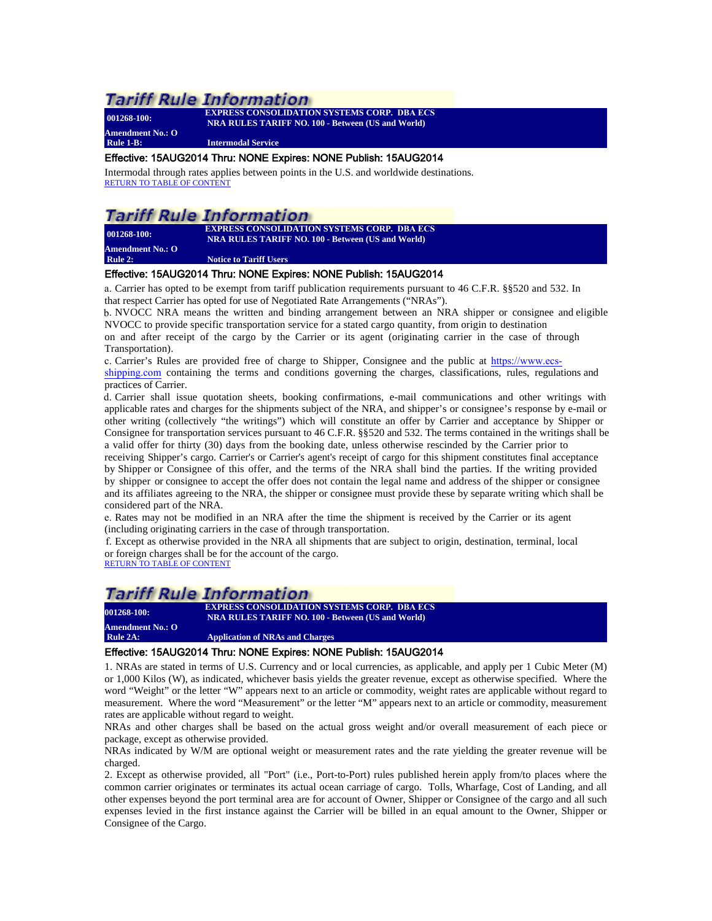**Amendment No.: O**

**001268-100: EXPRESS CONSOLIDATION SYSTEMS CORP. DBA ECS NRA RULES TARIFF NO. 100 - Between (US and World)**

**Rule 1-B: Intermodal Service**

#### <span id="page-5-0"></span>Effective: 15AUG2014 Thru: NONE Expires: NONE Publish: 15AUG2014

Intermodal through rates applies between points in the U.S. and worldwide destinations. [RETURN TO TABLE OF CONTENT](#page-2-0)

## Tariff Rule Information

**Amendment No.: O**

**001268-100: EXPRESS CONSOLIDATION SYSTEMS CORP. DBA ECS NRA RULES TARIFF NO. 100 - Between (US and World)**

<span id="page-5-1"></span>**Rule 2:** Notice to Tariff Users

## Effective: 15AUG2014 Thru: NONE Expires: NONE Publish: 15AUG2014

a. Carrier has opted to be exempt from tariff publication requirements pursuant to 46 C.F.R. §§520 and 532. In that respect Carrier has opted for use of Negotiated Rate Arrangements ("NRAs").

b. NVOCC NRA means the written and binding arrangement between an NRA shipper or consignee and eligible NVOCC to provide specific transportation service for a stated cargo quantity, from origin to destination

on and after receipt of the cargo by the Carrier or its agent (originating carrier in the case of through Transportation).

c. Carrier's Rules are provided free of charge to Shipper, Consignee and the public at [https://www.ecs](http://www.garnett-group.com/newyork.htm)[shipping.com](http://www.garnett-group.com/newyork.htm) [containing the terms and conditions governing the charges, classifications, rules,](https://www.ecs-shipping.com/) regulations and practices of Carrier.

d. Carrier shall issue quotation sheets, booking confirmations, e-mail communications and other writings with applicable rates and charges for the shipments subject of the NRA, and shipper's or consignee's response by e-mail or other writing (collectively "the writings") which will constitute an offer by Carrier and acceptance by Shipper or Consignee for transportation services pursuant to 46 C.F.R. §§520 and 532. The terms contained in the writings shall be a valid offer for thirty (30) days from the booking date, unless otherwise rescinded by the Carrier prior to

receiving Shipper's cargo. Carrier's or Carrier's agent's receipt of cargo for this shipment constitutes final acceptance by Shipper or Consignee of this offer, and the terms of the NRA shall bind the parties. If the writing provided by shipper or consignee to accept the offer does not contain the legal name and address of the shipper or consignee and its affiliates agreeing to the NRA, the shipper or consignee must provide these by separate writing which shall be considered part of the NRA.

e. Rates may not be modified in an NRA after the time the shipment is received by the Carrier or its agent (including originating carriers in the case of through transportation.

f. Except as otherwise provided in the NRA all shipments that are subject to origin, destination, terminal, local or foreign charges shall be for the account of the cargo.

[RETURN TO TABLE OF CONTENT](#page-2-0)

## *Tariff Rule Information*

**001268-100: EXPRESS CONSOLIDATION SYSTEMS CORP. DBA ECS NRA RULES TARIFF NO. 100 - Between (US and World)**

<span id="page-5-2"></span>**Amendment No.: O Application of NRAs and Charges** 

## Effective: 15AUG2014 Thru: NONE Expires: NONE Publish: 15AUG2014

1. NRAs are stated in terms of U.S. Currency and or local currencies, as applicable, and apply per 1 Cubic Meter (M) or 1,000 Kilos (W), as indicated, whichever basis yields the greater revenue, except as otherwise specified. Where the word "Weight" or the letter "W" appears next to an article or commodity, weight rates are applicable without regard to measurement. Where the word "Measurement" or the letter "M" appears next to an article or commodity, measurement rates are applicable without regard to weight.

NRAs and other charges shall be based on the actual gross weight and/or overall measurement of each piece or package, except as otherwise provided.

NRAs indicated by W/M are optional weight or measurement rates and the rate yielding the greater revenue will be charged.

2. Except as otherwise provided, all "Port" (i.e., Port-to-Port) rules published herein apply from/to places where the common carrier originates or terminates its actual ocean carriage of cargo. Tolls, Wharfage, Cost of Landing, and all other expenses beyond the port terminal area are for account of Owner, Shipper or Consignee of the cargo and all such expenses levied in the first instance against the Carrier will be billed in an equal amount to the Owner, Shipper or Consignee of the Cargo.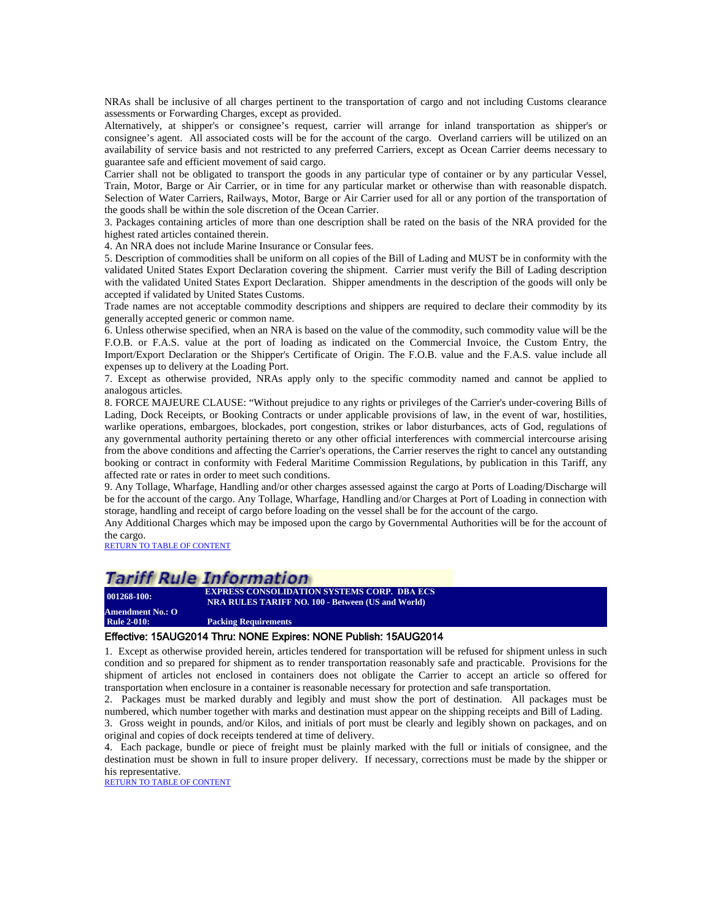NRAs shall be inclusive of all charges pertinent to the transportation of cargo and not including Customs clearance assessments or Forwarding Charges, except as provided.

Alternatively, at shipper's or consignee's request, carrier will arrange for inland transportation as shipper's or consignee's agent. All associated costs will be for the account of the cargo. Overland carriers will be utilized on an availability of service basis and not restricted to any preferred Carriers, except as Ocean Carrier deems necessary to guarantee safe and efficient movement of said cargo.

Carrier shall not be obligated to transport the goods in any particular type of container or by any particular Vessel, Train, Motor, Barge or Air Carrier, or in time for any particular market or otherwise than with reasonable dispatch. Selection of Water Carriers, Railways, Motor, Barge or Air Carrier used for all or any portion of the transportation of the goods shall be within the sole discretion of the Ocean Carrier.

3. Packages containing articles of more than one description shall be rated on the basis of the NRA provided for the highest rated articles contained therein.

4. An NRA does not include Marine Insurance or Consular fees.

5. Description of commodities shall be uniform on all copies of the Bill of Lading and MUST be in conformity with the validated United States Export Declaration covering the shipment. Carrier must verify the Bill of Lading description with the validated United States Export Declaration. Shipper amendments in the description of the goods will only be accepted if validated by United States Customs.

Trade names are not acceptable commodity descriptions and shippers are required to declare their commodity by its generally accepted generic or common name.

6. Unless otherwise specified, when an NRA is based on the value of the commodity, such commodity value will be the F.O.B. or F.A.S. value at the port of loading as indicated on the Commercial Invoice, the Custom Entry, the Import/Export Declaration or the Shipper's Certificate of Origin. The F.O.B. value and the F.A.S. value include all expenses up to delivery at the Loading Port.

7. Except as otherwise provided, NRAs apply only to the specific commodity named and cannot be applied to analogous articles.

8. FORCE MAJEURE CLAUSE: "Without prejudice to any rights or privileges of the Carrier's under-covering Bills of Lading, Dock Receipts, or Booking Contracts or under applicable provisions of law, in the event of war, hostilities, warlike operations, embargoes, blockades, port congestion, strikes or labor disturbances, acts of God, regulations of any governmental authority pertaining thereto or any other official interferences with commercial intercourse arising from the above conditions and affecting the Carrier's operations, the Carrier reserves the right to cancel any outstanding booking or contract in conformity with Federal Maritime Commission Regulations, by publication in this Tariff, any affected rate or rates in order to meet such conditions.

9. Any Tollage, Wharfage, Handling and/or other charges assessed against the cargo at Ports of Loading/Discharge will be for the account of the cargo. Any Tollage, Wharfage, Handling and/or Charges at Port of Loading in connection with storage, handling and receipt of cargo before loading on the vessel shall be for the account of the cargo.

Any Additional Charges which may be imposed upon the cargo by Governmental Authorities will be for the account of the cargo.

[RETURN TO TABLE OF CONTENT](#page-2-0)

## Tariff Rule Information

**001268-100: EXPRESS CONSOLIDATION SYSTEMS CORP. DBA ECS NRA RULES TARIFF NO. 100 - Between (US and World)**

<span id="page-6-0"></span>**Amendment No.: O Packing Requirements** 

## Effective: 15AUG2014 Thru: NONE Expires: NONE Publish: 15AUG2014

1. Except as otherwise provided herein, articles tendered for transportation will be refused for shipment unless in such condition and so prepared for shipment as to render transportation reasonably safe and practicable. Provisions for the shipment of articles not enclosed in containers does not obligate the Carrier to accept an article so offered for transportation when enclosure in a container is reasonable necessary for protection and safe transportation.

2. Packages must be marked durably and legibly and must show the port of destination. All packages must be numbered, which number together with marks and destination must appear on the shipping receipts and Bill of Lading. 3. Gross weight in pounds, and/or Kilos, and initials of port must be clearly and legibly shown on packages, and on

original and copies of dock receipts tendered at time of delivery.

4. Each package, bundle or piece of freight must be plainly marked with the full or initials of consignee, and the destination must be shown in full to insure proper delivery. If necessary, corrections must be made by the shipper or his representative.

[RETURN TO TABLE OF CONTENT](#page-2-0)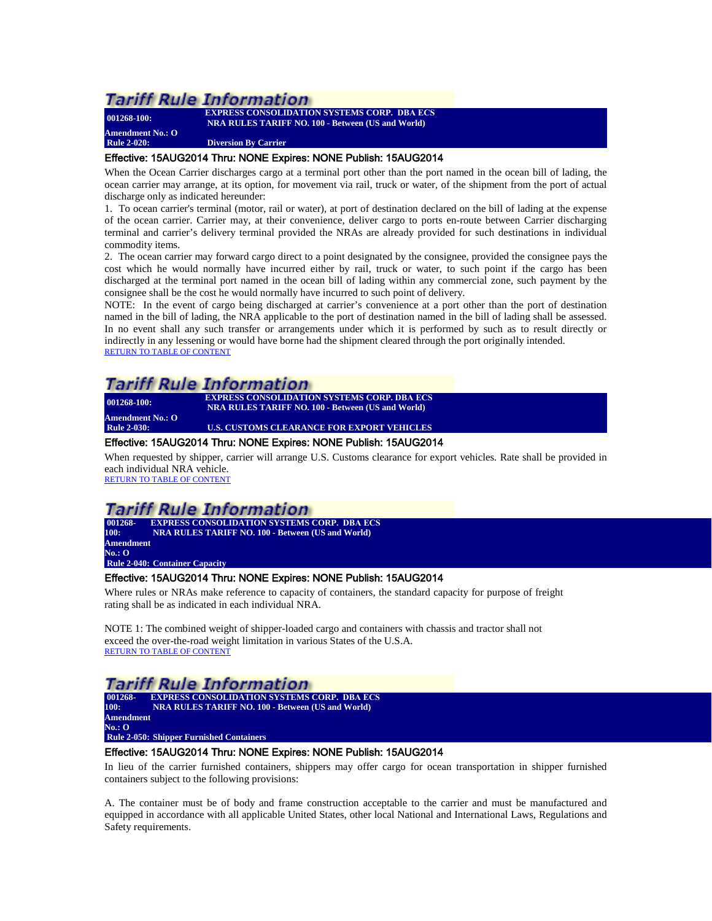**Amendment No.: O**

**001268-100: EXPRESS CONSOLIDATION SYSTEMS CORP. DBA ECS NRA RULES TARIFF NO. 100 - Between (US and World)**

**Diversion By Carrier** 

### <span id="page-7-0"></span>Effective: 15AUG2014 Thru: NONE Expires: NONE Publish: 15AUG2014

When the Ocean Carrier discharges cargo at a terminal port other than the port named in the ocean bill of lading, the ocean carrier may arrange, at its option, for movement via rail, truck or water, of the shipment from the port of actual discharge only as indicated hereunder:

1. To ocean carrier's terminal (motor, rail or water), at port of destination declared on the bill of lading at the expense of the ocean carrier. Carrier may, at their convenience, deliver cargo to ports en-route between Carrier discharging terminal and carrier's delivery terminal provided the NRAs are already provided for such destinations in individual commodity items.

2. The ocean carrier may forward cargo direct to a point designated by the consignee, provided the consignee pays the cost which he would normally have incurred either by rail, truck or water, to such point if the cargo has been discharged at the terminal port named in the ocean bill of lading within any commercial zone, such payment by the consignee shall be the cost he would normally have incurred to such point of delivery.

NOTE: In the event of cargo being discharged at carrier's convenience at a port other than the port of destination named in the bill of lading, the NRA applicable to the port of destination named in the bill of lading shall be assessed. In no event shall any such transfer or arrangements under which it is performed by such as to result directly or indirectly in any lessening or would have borne had the shipment cleared through the port originally intended. [RETURN TO TABLE OF CONTENT](#page-2-0)

## **Tariff Rule Information**

**Amendment No.: O**

**001268-100: EXPRESS CONSOLIDATION SYSTEMS CORP. DBA ECS NRA RULES TARIFF NO. 100 - Between (US and World)**

<span id="page-7-1"></span>**U.S. CUSTOMS CLEARANCE FOR EXPORT VEHICLES** Effective: 15AUG2014 Thru: NONE Expires: NONE Publish: 15AUG2014

When requested by shipper, carrier will arrange U.S. Customs clearance for export vehicles. Rate shall be provided in each individual NRA vehicle.

[RETURN TO TABLE OF CONTENT](#page-2-0)

## Tariff Rule Information

**001268- 100: EXPRESS CONSOLIDATION SYSTEMS CORP. DBA ECS NRA RULES TARIFF NO. 100 - Between (US and World) Amendment No.: O Rule 2-040: Container Capacity**

## <span id="page-7-2"></span>Effective: 15AUG2014 Thru: NONE Expires: NONE Publish: 15AUG2014

Where rules or NRAs make reference to capacity of containers, the standard capacity for purpose of freight rating shall be as indicated in each individual NRA.

NOTE 1: The combined weight of shipper-loaded cargo and containers with chassis and tractor shall not exceed the over-the-road weight limitation in various States of the U.S.A. [RETURN TO TABLE OF CONTENT](#page-2-0)

## **Tariff Rule Information**

| 001268-   | <b>EXPRESS CONSOLIDATION SYSTEMS CORP. DBA ECS</b>       |
|-----------|----------------------------------------------------------|
| 100:      | <b>NRA RULES TARIFF NO. 100 - Between (US and World)</b> |
| Amendment |                                                          |
| No.: O    |                                                          |
|           | <b>Rule 2-050: Shipper Furnished Containers</b>          |

### <span id="page-7-3"></span>Effective: 15AUG2014 Thru: NONE Expires: NONE Publish: 15AUG2014

In lieu of the carrier furnished containers, shippers may offer cargo for ocean transportation in shipper furnished containers subject to the following provisions:

A. The container must be of body and frame construction acceptable to the carrier and must be manufactured and equipped in accordance with all applicable United States, other local National and International Laws, Regulations and Safety requirements.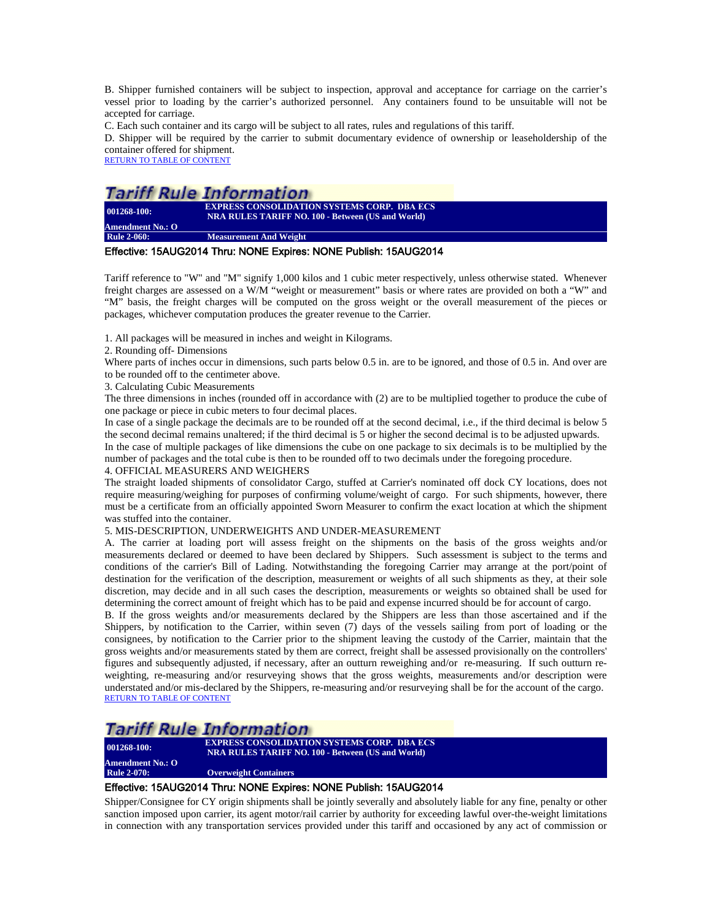B. Shipper furnished containers will be subject to inspection, approval and acceptance for carriage on the carrier's vessel prior to loading by the carrier's authorized personnel. Any containers found to be unsuitable will not be accepted for carriage.

C. Each such container and its cargo will be subject to all rates, rules and regulations of this tariff.

D. Shipper will be required by the carrier to submit documentary evidence of ownership or leaseholdership of the container offered for shipment.

[RETURN TO TABLE OF CONTENT](#page-2-0)

## **Tariff Rule Information**

**001268-100: EXPRESS CONSOLIDATION SYSTEMS CORP. DBA ECS NRA RULES TARIFF NO. 100 - Between (US and World) Amendment No.: O**<br>Rule 2-060: **Measurement And Weight** 

#### <span id="page-8-0"></span>Effective: 15AUG2014 Thru: NONE Expires: NONE Publish: 15AUG2014

Tariff reference to "W" and "M" signify 1,000 kilos and 1 cubic meter respectively, unless otherwise stated. Whenever freight charges are assessed on a W/M "weight or measurement" basis or where rates are provided on both a "W" and "M" basis, the freight charges will be computed on the gross weight or the overall measurement of the pieces or packages, whichever computation produces the greater revenue to the Carrier.

1. All packages will be measured in inches and weight in Kilograms.

2. Rounding off- Dimensions

Where parts of inches occur in dimensions, such parts below 0.5 in. are to be ignored, and those of 0.5 in. And over are to be rounded off to the centimeter above.

3. Calculating Cubic Measurements

The three dimensions in inches (rounded off in accordance with (2) are to be multiplied together to produce the cube of one package or piece in cubic meters to four decimal places.

In case of a single package the decimals are to be rounded off at the second decimal, i.e., if the third decimal is below 5 the second decimal remains unaltered; if the third decimal is 5 or higher the second decimal is to be adjusted upwards.

In the case of multiple packages of like dimensions the cube on one package to six decimals is to be multiplied by the number of packages and the total cube is then to be rounded off to two decimals under the foregoing procedure.

#### 4. OFFICIAL MEASURERS AND WEIGHERS

The straight loaded shipments of consolidator Cargo, stuffed at Carrier's nominated off dock CY locations, does not require measuring/weighing for purposes of confirming volume/weight of cargo. For such shipments, however, there must be a certificate from an officially appointed Sworn Measurer to confirm the exact location at which the shipment was stuffed into the container.

#### 5. MIS-DESCRIPTION, UNDERWEIGHTS AND UNDER-MEASUREMENT

A. The carrier at loading port will assess freight on the shipments on the basis of the gross weights and/or measurements declared or deemed to have been declared by Shippers. Such assessment is subject to the terms and conditions of the carrier's Bill of Lading. Notwithstanding the foregoing Carrier may arrange at the port/point of destination for the verification of the description, measurement or weights of all such shipments as they, at their sole discretion, may decide and in all such cases the description, measurements or weights so obtained shall be used for determining the correct amount of freight which has to be paid and expense incurred should be for account of cargo.

B. If the gross weights and/or measurements declared by the Shippers are less than those ascertained and if the Shippers, by notification to the Carrier, within seven (7) days of the vessels sailing from port of loading or the consignees, by notification to the Carrier prior to the shipment leaving the custody of the Carrier, maintain that the gross weights and/or measurements stated by them are correct, freight shall be assessed provisionally on the controllers' figures and subsequently adjusted, if necessary, after an outturn reweighing and/or re-measuring. If such outturn reweighting, re-measuring and/or resurveying shows that the gross weights, measurements and/or description were understated and/or mis-declared by the Shippers, re-measuring and/or resurveying shall be for the account of the cargo. [RETURN TO TABLE OF CONTENT](#page-2-0)

## Tariff Rule Information

**Amendment No.: O**

**001268-100: EXPRESS CONSOLIDATION SYSTEMS CORP. DBA ECS NRA RULES TARIFF NO. 100 - Between (US and World)**

<span id="page-8-1"></span>**Overweight Containers** 

### Effective: 15AUG2014 Thru: NONE Expires: NONE Publish: 15AUG2014

Shipper/Consignee for CY origin shipments shall be jointly severally and absolutely liable for any fine, penalty or other sanction imposed upon carrier, its agent motor/rail carrier by authority for exceeding lawful over-the-weight limitations in connection with any transportation services provided under this tariff and occasioned by any act of commission or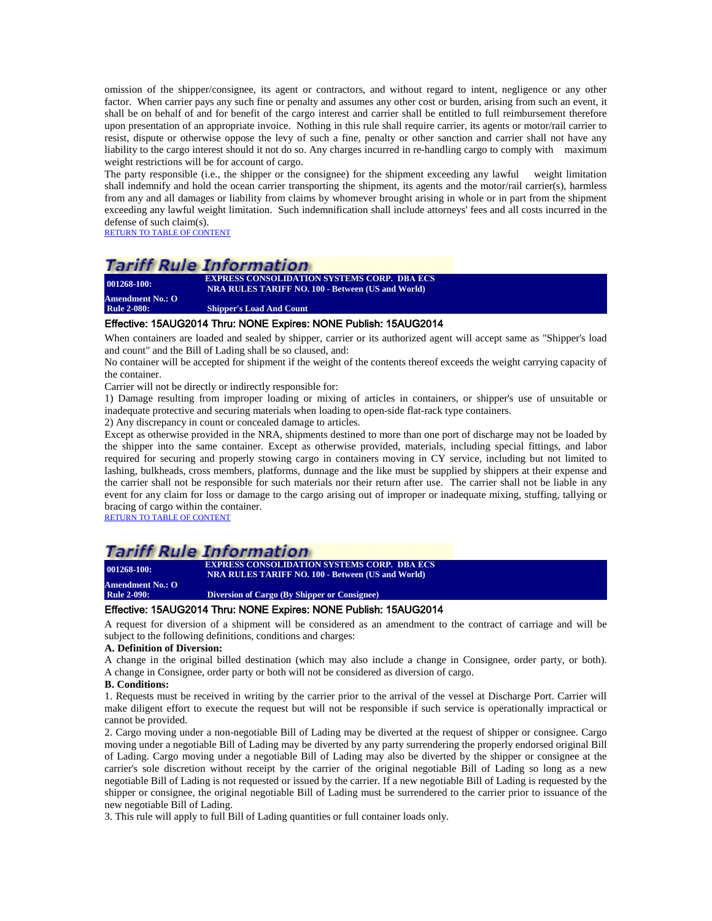omission of the shipper/consignee, its agent or contractors, and without regard to intent, negligence or any other factor. When carrier pays any such fine or penalty and assumes any other cost or burden, arising from such an event, it shall be on behalf of and for benefit of the cargo interest and carrier shall be entitled to full reimbursement therefore upon presentation of an appropriate invoice. Nothing in this rule shall require carrier, its agents or motor/rail carrier to resist, dispute or otherwise oppose the levy of such a fine, penalty or other sanction and carrier shall not have any liability to the cargo interest should it not do so. Any charges incurred in re-handling cargo to comply with maximum weight restrictions will be for account of cargo.

The party responsible (i.e., the shipper or the consignee) for the shipment exceeding any lawful weight limitation shall indemnify and hold the ocean carrier transporting the shipment, its agents and the motor/rail carrier(s), harmless from any and all damages or liability from claims by whomever brought arising in whole or in part from the shipment exceeding any lawful weight limitation. Such indemnification shall include attorneys' fees and all costs incurred in the defense of such claim(s).

[RETURN TO TABLE OF CONTENT](#page-2-0)

## Tariff Rule Information

**Amendment No.: O**

**001268-100: EXPRESS CONSOLIDATION SYSTEMS CORP. DBA ECS NRA RULES TARIFF NO. 100 - Between (US and World)**

<span id="page-9-0"></span>**Rule 2-080: Shipper's Load And Count**

### Effective: 15AUG2014 Thru: NONE Expires: NONE Publish: 15AUG2014

When containers are loaded and sealed by shipper, carrier or its authorized agent will accept same as "Shipper's load and count" and the Bill of Lading shall be so claused, and:

No container will be accepted for shipment if the weight of the contents thereof exceeds the weight carrying capacity of the container.

Carrier will not be directly or indirectly responsible for:

1) Damage resulting from improper loading or mixing of articles in containers, or shipper's use of unsuitable or inadequate protective and securing materials when loading to open-side flat-rack type containers.

2) Any discrepancy in count or concealed damage to articles.

Except as otherwise provided in the NRA, shipments destined to more than one port of discharge may not be loaded by the shipper into the same container. Except as otherwise provided, materials, including special fittings, and labor required for securing and properly stowing cargo in containers moving in CY service, including but not limited to lashing, bulkheads, cross members, platforms, dunnage and the like must be supplied by shippers at their expense and the carrier shall not be responsible for such materials nor their return after use. The carrier shall not be liable in any event for any claim for loss or damage to the cargo arising out of improper or inadequate mixing, stuffing, tallying or bracing of cargo within the container.

[RETURN TO TABLE OF CONTENT](#page-2-0)

## **Tariff Rule Information**

**001268-100: EXPRESS CONSOLIDATION SYSTEMS CORP. DBA ECS NRA RULES TARIFF NO. 100 - Between (US and World)**

<span id="page-9-1"></span>**Amendment No.: O Diversion of Cargo (By Shipper or Consignee)** 

#### Effective: 15AUG2014 Thru: NONE Expires: NONE Publish: 15AUG2014

A request for diversion of a shipment will be considered as an amendment to the contract of carriage and will be subject to the following definitions, conditions and charges:

#### **A. Definition of Diversion:**

A change in the original billed destination (which may also include a change in Consignee, order party, or both). A change in Consignee, order party or both will not be considered as diversion of cargo.

#### **B. Conditions:**

1. Requests must be received in writing by the carrier prior to the arrival of the vessel at Discharge Port. Carrier will make diligent effort to execute the request but will not be responsible if such service is operationally impractical or cannot be provided.

2. Cargo moving under a non-negotiable Bill of Lading may be diverted at the request of shipper or consignee. Cargo moving under a negotiable Bill of Lading may be diverted by any party surrendering the properly endorsed original Bill of Lading. Cargo moving under a negotiable Bill of Lading may also be diverted by the shipper or consignee at the carrier's sole discretion without receipt by the carrier of the original negotiable Bill of Lading so long as a new negotiable Bill of Lading is not requested or issued by the carrier. If a new negotiable Bill of Lading is requested by the shipper or consignee, the original negotiable Bill of Lading must be surrendered to the carrier prior to issuance of the new negotiable Bill of Lading.

3. This rule will apply to full Bill of Lading quantities or full container loads only.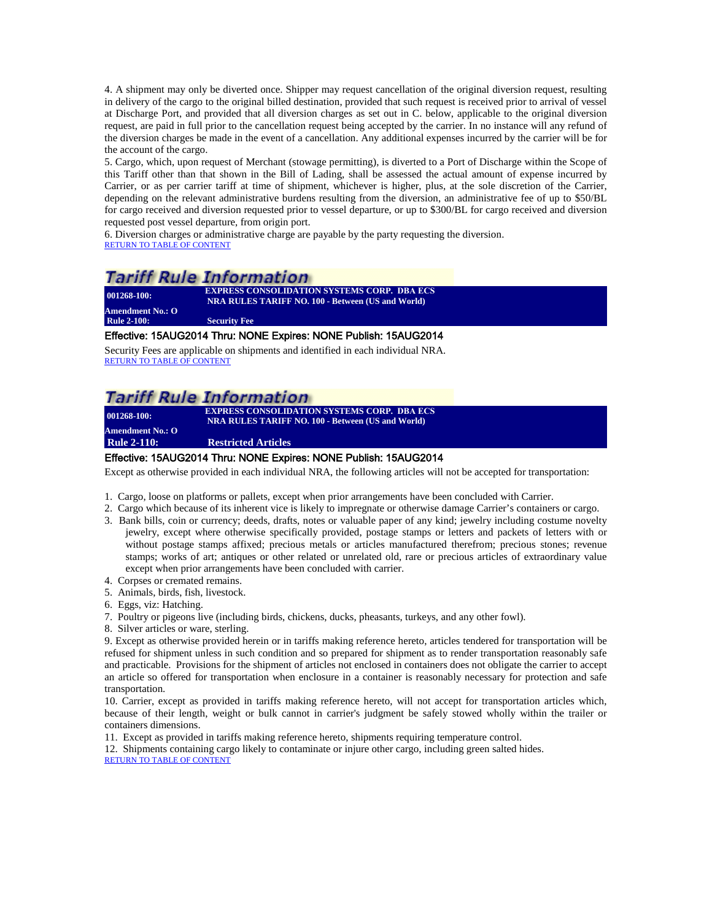4. A shipment may only be diverted once. Shipper may request cancellation of the original diversion request, resulting in delivery of the cargo to the original billed destination, provided that such request is received prior to arrival of vessel at Discharge Port, and provided that all diversion charges as set out in C. below, applicable to the original diversion request, are paid in full prior to the cancellation request being accepted by the carrier. In no instance will any refund of the diversion charges be made in the event of a cancellation. Any additional expenses incurred by the carrier will be for the account of the cargo.

5. Cargo, which, upon request of Merchant (stowage permitting), is diverted to a Port of Discharge within the Scope of this Tariff other than that shown in the Bill of Lading, shall be assessed the actual amount of expense incurred by Carrier, or as per carrier tariff at time of shipment, whichever is higher, plus, at the sole discretion of the Carrier, depending on the relevant administrative burdens resulting from the diversion, an administrative fee of up to \$50/BL for cargo received and diversion requested prior to vessel departure, or up to \$300/BL for cargo received and diversion requested post vessel departure, from origin port.

6. Diversion charges or administrative charge are payable by the party requesting the diversion. [RETURN TO TABLE OF CONTENT](#page-2-0)

## Tariff Rule Information

**001268-100: EXPRESS CONSOLIDATION SYSTEMS CORP.** DBA ECS **NRA RULES TARIFF NO. 100 - Between (US and World) Amendment No.: O Security Fee** 

## <span id="page-10-0"></span>Effective: 15AUG2014 Thru: NONE Expires: NONE Publish: 15AUG2014

Security Fees are applicable on shipments and identified in each individual NRA. [RETURN TO TABLE OF CONTENT](#page-2-0)

## **Tariff Rule Information**

**001268-100: EXPRESS CONSOLIDATION SYSTEMS CORP. DBA ECS NRA RULES TARIFF NO. 100 - Between (US and World)**

<span id="page-10-1"></span>**Amendment No.: O Rule 2-110: Restricted Articles**

## Effective: 15AUG2014 Thru: NONE Expires: NONE Publish: 15AUG2014

Except as otherwise provided in each individual NRA, the following articles will not be accepted for transportation:

- 1. Cargo, loose on platforms or pallets, except when prior arrangements have been concluded with Carrier.
- 2. Cargo which because of its inherent vice is likely to impregnate or otherwise damage Carrier's containers or cargo.
- 3. Bank bills, coin or currency; deeds, drafts, notes or valuable paper of any kind; jewelry including costume novelty jewelry, except where otherwise specifically provided, postage stamps or letters and packets of letters with or without postage stamps affixed; precious metals or articles manufactured therefrom; precious stones; revenue stamps; works of art; antiques or other related or unrelated old, rare or precious articles of extraordinary value except when prior arrangements have been concluded with carrier.
- 4. Corpses or cremated remains.
- 5. Animals, birds, fish, livestock.
- 6. Eggs, viz: Hatching.
- 7. Poultry or pigeons live (including birds, chickens, ducks, pheasants, turkeys, and any other fowl).
- 8. Silver articles or ware, sterling.

9. Except as otherwise provided herein or in tariffs making reference hereto, articles tendered for transportation will be refused for shipment unless in such condition and so prepared for shipment as to render transportation reasonably safe and practicable. Provisions for the shipment of articles not enclosed in containers does not obligate the carrier to accept an article so offered for transportation when enclosure in a container is reasonably necessary for protection and safe transportation.

10. Carrier, except as provided in tariffs making reference hereto, will not accept for transportation articles which, because of their length, weight or bulk cannot in carrier's judgment be safely stowed wholly within the trailer or containers dimensions.

11. Except as provided in tariffs making reference hereto, shipments requiring temperature control.

12. Shipments containing cargo likely to contaminate or injure other cargo, including green salted hides. [RETURN TO TABLE OF CONTENT](#page-2-0)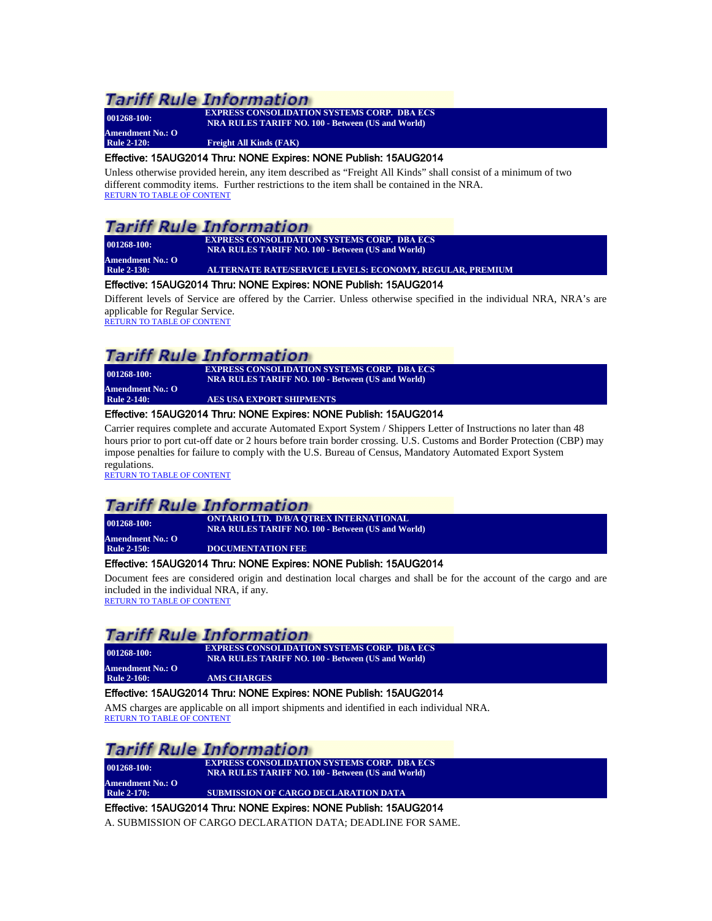**Amendment No.: O**

**001268-100: EXPRESS CONSOLIDATION SYSTEMS CORP. DBA ECS NRA RULES TARIFF NO. 100 - Between (US and World)**

#### <span id="page-11-0"></span>**Rule 2-120: Freight All Kinds (FAK)**

## Effective: 15AUG2014 Thru: NONE Expires: NONE Publish: 15AUG2014

Unless otherwise provided herein, any item described as "Freight All Kinds" shall consist of a minimum of two different commodity items. Further restrictions to the item shall be contained in the NRA. [RETURN TO TABLE OF CONTENT](#page-2-0)

## **Tariff Rule Information**

**001268-100: EXPRESS CONSOLIDATION SYSTEMS CORP. DBA ECS NRA RULES TARIFF NO. 100 - Between (US and World)**

**Amendment No.: O**<br>Rule 2-130:

## <span id="page-11-1"></span>**Rule 2-130: ALTERNATE RATE/SERVICE LEVELS: ECONOMY, REGULAR, PREMIUM**

## Effective: 15AUG2014 Thru: NONE Expires: NONE Publish: 15AUG2014

Different levels of Service are offered by the Carrier. Unless otherwise specified in the individual NRA, NRA's are applicable for Regular Service.

[RETURN TO TABLE OF CONTENT](#page-2-0)

## Tariff Rule Information

**001268-100: EXPRESS CONSOLIDATION SYSTEMS CORP. DBA ECS NRA RULES TARIFF NO. 100 - Between (US and World)**

<span id="page-11-2"></span>**Amendment No.: O Rule 2-140: AES USA EXPORT SHIPMENTS**

### Effective: 15AUG2014 Thru: NONE Expires: NONE Publish: 15AUG2014

Carrier requires complete and accurate Automated Export System / Shippers Letter of Instructions no later than 48 hours prior to port cut-off date or 2 hours before train border crossing. U.S. Customs and Border Protection (CBP) may impose penalties for failure to comply with the U.S. Bureau of Census, Mandatory Automated Export System regulations.

[RETURN TO TABLE OF CONTENT](#page-2-0)

## **Tariff Rule Information**

**001268-100: ONTARIO LTD. D/B/A QTREX INTERNATIONAL NRA RULES TARIFF NO. 100 - Between (US and World)**

<span id="page-11-3"></span>**Amendment No.: O**

**DOCUMENTATION FEE** 

## Effective: 15AUG2014 Thru: NONE Expires: NONE Publish: 15AUG2014

Document fees are considered origin and destination local charges and shall be for the account of the cargo and are included in the individual NRA, if any. [RETURN TO TABLE OF CONTENT](#page-2-0)

## Tariff Rule Information

**001268-100: EXPRESS CONSOLIDATION SYSTEMS CORP. DBA ECS NRA RULES TARIFF NO. 100 - Between (US and World)**

<span id="page-11-4"></span>**Amendment No.: O AMS CHARGES** 

## Effective: 15AUG2014 Thru: NONE Expires: NONE Publish: 15AUG2014

AMS charges are applicable on all import shipments and identified in each individual NRA. [RETURN TO TABLE OF CONTENT](#page-2-0)

# **Tariff Rule Information**

**Amendment No.: O**

**001268-100: EXPRESS CONSOLIDATION SYSTEMS CORP.** DBA ECS **NRA RULES TARIFF NO. 100 - Between (US and World)**

*SUBMISSION OF CARGO DECLARATION DATA* 

## <span id="page-11-5"></span>Effective: 15AUG2014 Thru: NONE Expires: NONE Publish: 15AUG2014

A. SUBMISSION OF CARGO DECLARATION DATA; DEADLINE FOR SAME.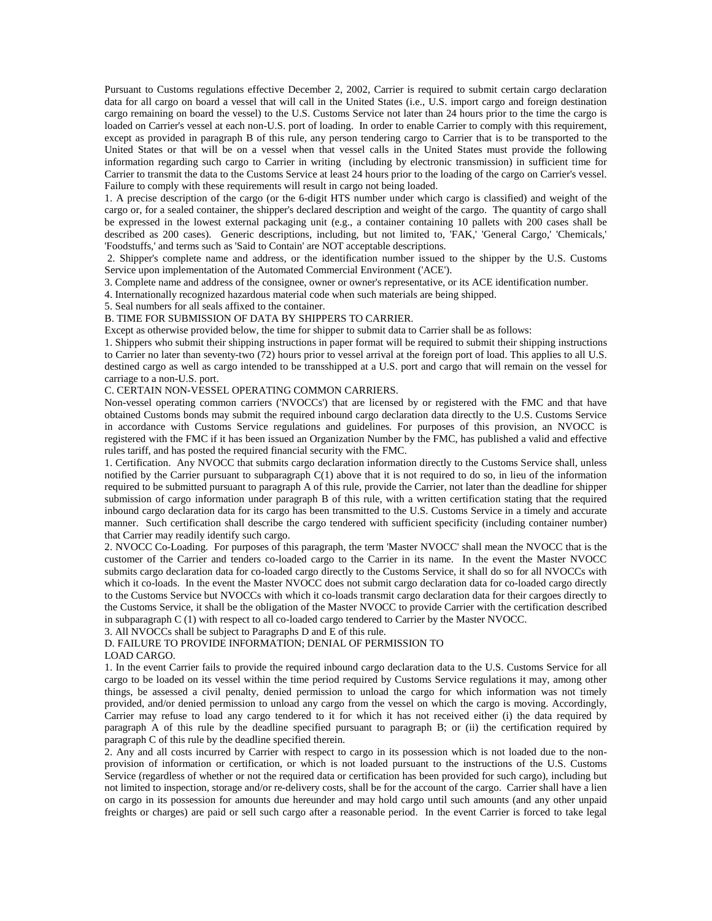Pursuant to Customs regulations effective December 2, 2002, Carrier is required to submit certain cargo declaration data for all cargo on board a vessel that will call in the United States (i.e., U.S. import cargo and foreign destination cargo remaining on board the vessel) to the U.S. Customs Service not later than 24 hours prior to the time the cargo is loaded on Carrier's vessel at each non-U.S. port of loading. In order to enable Carrier to comply with this requirement, except as provided in paragraph B of this rule, any person tendering cargo to Carrier that is to be transported to the United States or that will be on a vessel when that vessel calls in the United States must provide the following information regarding such cargo to Carrier in writing (including by electronic transmission) in sufficient time for Carrier to transmit the data to the Customs Service at least 24 hours prior to the loading of the cargo on Carrier's vessel. Failure to comply with these requirements will result in cargo not being loaded.

1. A precise description of the cargo (or the 6-digit HTS number under which cargo is classified) and weight of the cargo or, for a sealed container, the shipper's declared description and weight of the cargo. The quantity of cargo shall be expressed in the lowest external packaging unit (e.g., a container containing 10 pallets with 200 cases shall be described as 200 cases). Generic descriptions, including, but not limited to, 'FAK,' 'General Cargo,' 'Chemicals,' 'Foodstuffs,' and terms such as 'Said to Contain' are NOT acceptable descriptions.

2. Shipper's complete name and address, or the identification number issued to the shipper by the U.S. Customs Service upon implementation of the Automated Commercial Environment ('ACE').

3. Complete name and address of the consignee, owner or owner's representative, or its ACE identification number.

4. Internationally recognized hazardous material code when such materials are being shipped.

5. Seal numbers for all seals affixed to the container.

#### B. TIME FOR SUBMISSION OF DATA BY SHIPPERS TO CARRIER.

Except as otherwise provided below, the time for shipper to submit data to Carrier shall be as follows:

1. Shippers who submit their shipping instructions in paper format will be required to submit their shipping instructions to Carrier no later than seventy-two (72) hours prior to vessel arrival at the foreign port of load. This applies to all U.S. destined cargo as well as cargo intended to be transshipped at a U.S. port and cargo that will remain on the vessel for carriage to a non-U.S. port.

#### C. CERTAIN NON-VESSEL OPERATING COMMON CARRIERS.

Non-vessel operating common carriers ('NVOCCs') that are licensed by or registered with the FMC and that have obtained Customs bonds may submit the required inbound cargo declaration data directly to the U.S. Customs Service in accordance with Customs Service regulations and guidelines. For purposes of this provision, an NVOCC is registered with the FMC if it has been issued an Organization Number by the FMC, has published a valid and effective rules tariff, and has posted the required financial security with the FMC.

1. Certification. Any NVOCC that submits cargo declaration information directly to the Customs Service shall, unless notified by the Carrier pursuant to subparagraph  $C(1)$  above that it is not required to do so, in lieu of the information required to be submitted pursuant to paragraph A of this rule, provide the Carrier, not later than the deadline for shipper submission of cargo information under paragraph B of this rule, with a written certification stating that the required inbound cargo declaration data for its cargo has been transmitted to the U.S. Customs Service in a timely and accurate manner. Such certification shall describe the cargo tendered with sufficient specificity (including container number) that Carrier may readily identify such cargo.

2. NVOCC Co-Loading. For purposes of this paragraph, the term 'Master NVOCC' shall mean the NVOCC that is the customer of the Carrier and tenders co-loaded cargo to the Carrier in its name. In the event the Master NVOCC submits cargo declaration data for co-loaded cargo directly to the Customs Service, it shall do so for all NVOCCs with which it co-loads. In the event the Master NVOCC does not submit cargo declaration data for co-loaded cargo directly to the Customs Service but NVOCCs with which it co-loads transmit cargo declaration data for their cargoes directly to the Customs Service, it shall be the obligation of the Master NVOCC to provide Carrier with the certification described in subparagraph C (1) with respect to all co-loaded cargo tendered to Carrier by the Master NVOCC.

## 3. All NVOCCs shall be subject to Paragraphs D and E of this rule.

## D. FAILURE TO PROVIDE INFORMATION; DENIAL OF PERMISSION TO

#### LOAD CARGO.

1. In the event Carrier fails to provide the required inbound cargo declaration data to the U.S. Customs Service for all cargo to be loaded on its vessel within the time period required by Customs Service regulations it may, among other things, be assessed a civil penalty, denied permission to unload the cargo for which information was not timely provided, and/or denied permission to unload any cargo from the vessel on which the cargo is moving. Accordingly, Carrier may refuse to load any cargo tendered to it for which it has not received either (i) the data required by paragraph A of this rule by the deadline specified pursuant to paragraph B; or (ii) the certification required by paragraph C of this rule by the deadline specified therein.

2. Any and all costs incurred by Carrier with respect to cargo in its possession which is not loaded due to the nonprovision of information or certification, or which is not loaded pursuant to the instructions of the U.S. Customs Service (regardless of whether or not the required data or certification has been provided for such cargo), including but not limited to inspection, storage and/or re-delivery costs, shall be for the account of the cargo. Carrier shall have a lien on cargo in its possession for amounts due hereunder and may hold cargo until such amounts (and any other unpaid freights or charges) are paid or sell such cargo after a reasonable period. In the event Carrier is forced to take legal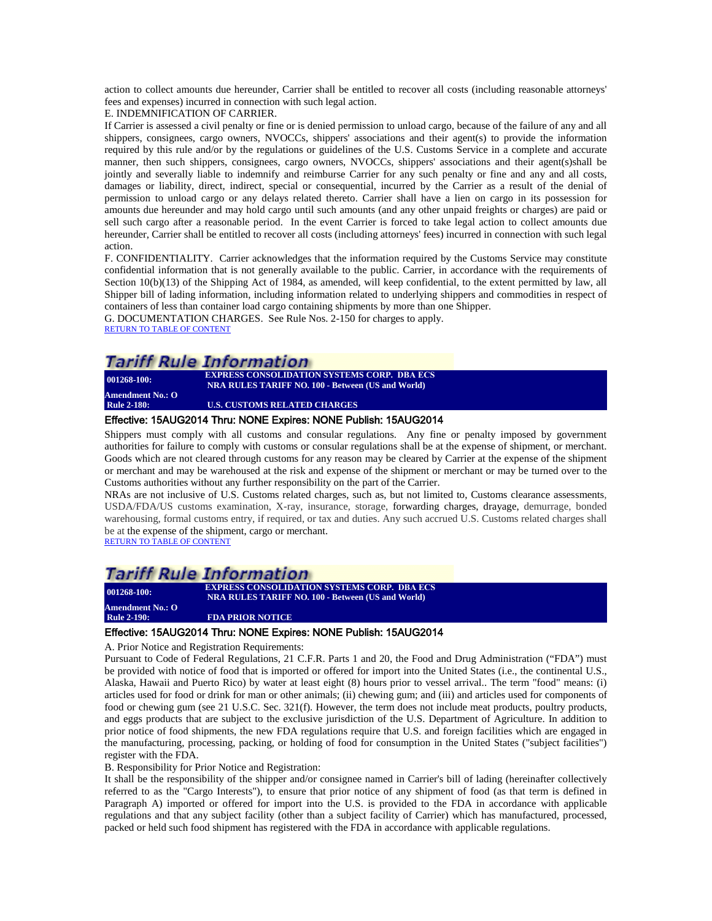action to collect amounts due hereunder, Carrier shall be entitled to recover all costs (including reasonable attorneys' fees and expenses) incurred in connection with such legal action.

E. INDEMNIFICATION OF CARRIER.

If Carrier is assessed a civil penalty or fine or is denied permission to unload cargo, because of the failure of any and all shippers, consignees, cargo owners, NVOCCs, shippers' associations and their agent(s) to provide the information required by this rule and/or by the regulations or guidelines of the U.S. Customs Service in a complete and accurate manner, then such shippers, consignees, cargo owners, NVOCCs, shippers' associations and their agent(s)shall be jointly and severally liable to indemnify and reimburse Carrier for any such penalty or fine and any and all costs, damages or liability, direct, indirect, special or consequential, incurred by the Carrier as a result of the denial of permission to unload cargo or any delays related thereto. Carrier shall have a lien on cargo in its possession for amounts due hereunder and may hold cargo until such amounts (and any other unpaid freights or charges) are paid or sell such cargo after a reasonable period. In the event Carrier is forced to take legal action to collect amounts due hereunder, Carrier shall be entitled to recover all costs (including attorneys' fees) incurred in connection with such legal action.

F. CONFIDENTIALITY. Carrier acknowledges that the information required by the Customs Service may constitute confidential information that is not generally available to the public. Carrier, in accordance with the requirements of Section 10(b)(13) of the Shipping Act of 1984, as amended, will keep confidential, to the extent permitted by law, all Shipper bill of lading information, including information related to underlying shippers and commodities in respect of containers of less than container load cargo containing shipments by more than one Shipper.

G. DOCUMENTATION CHARGES. See Rule Nos. 2-150 for charges to apply. [RETURN TO TABLE OF CONTENT](#page-2-0)

## Tariff Rule Information

**001268-100: EXPRESS CONSOLIDATION SYSTEMS CORP. DBA ECS NRA RULES TARIFF NO. 100 - Between (US and World) Amendment No.: O**

<span id="page-13-0"></span>**U.S. CUSTOMS RELATED CHARGES** 

#### Effective: 15AUG2014 Thru: NONE Expires: NONE Publish: 15AUG2014

Shippers must comply with all customs and consular regulations. Any fine or penalty imposed by government authorities for failure to comply with customs or consular regulations shall be at the expense of shipment, or merchant. Goods which are not cleared through customs for any reason may be cleared by Carrier at the expense of the shipment or merchant and may be warehoused at the risk and expense of the shipment or merchant or may be turned over to the Customs authorities without any further responsibility on the part of the Carrier.

NRAs are not inclusive of U.S. Customs related charges, such as, but not limited to, Customs clearance assessments, USDA/FDA/US customs examination, X-ray, insurance, storage, forwarding charges, drayage, demurrage, bonded warehousing, formal customs entry, if required, or tax and duties. Any such accrued U.S. Customs related charges shall be at the expense of the shipment, cargo or merchant.<br>[RETURN TO TABLE OF CONTENT](#page-2-0)

## **Tariff Rule Information**

| $001268 - 100$ :   | <b>EXPRESS CONSOLIDATION SYSTEMS CORP. DBA ECS</b><br><b>NRA RULES TARIFF NO. 100 - Between (US and World)</b> |
|--------------------|----------------------------------------------------------------------------------------------------------------|
| Amendment No.: O   |                                                                                                                |
| <b>Rule 2-190:</b> | <b>FDA PRIOR NOTICE</b>                                                                                        |
|                    |                                                                                                                |

#### <span id="page-13-1"></span>Effective: 15AUG2014 Thru: NONE Expires: NONE Publish: 15AUG2014

A. Prior Notice and Registration Requirements:

Pursuant to Code of Federal Regulations, 21 C.F.R. Parts 1 and 20, the Food and Drug Administration ("FDA") must be provided with notice of food that is imported or offered for import into the United States (i.e., the continental U.S., Alaska, Hawaii and Puerto Rico) by water at least eight (8) hours prior to vessel arrival.. The term "food" means: (i) articles used for food or drink for man or other animals; (ii) chewing gum; and (iii) and articles used for components of food or chewing gum (see 21 U.S.C. Sec. 321(f). However, the term does not include meat products, poultry products, and eggs products that are subject to the exclusive jurisdiction of the U.S. Department of Agriculture. In addition to prior notice of food shipments, the new FDA regulations require that U.S. and foreign facilities which are engaged in the manufacturing, processing, packing, or holding of food for consumption in the United States ("subject facilities") register with the FDA.

### B. Responsibility for Prior Notice and Registration:

It shall be the responsibility of the shipper and/or consignee named in Carrier's bill of lading (hereinafter collectively referred to as the "Cargo Interests"), to ensure that prior notice of any shipment of food (as that term is defined in Paragraph A) imported or offered for import into the U.S. is provided to the FDA in accordance with applicable regulations and that any subject facility (other than a subject facility of Carrier) which has manufactured, processed, packed or held such food shipment has registered with the FDA in accordance with applicable regulations.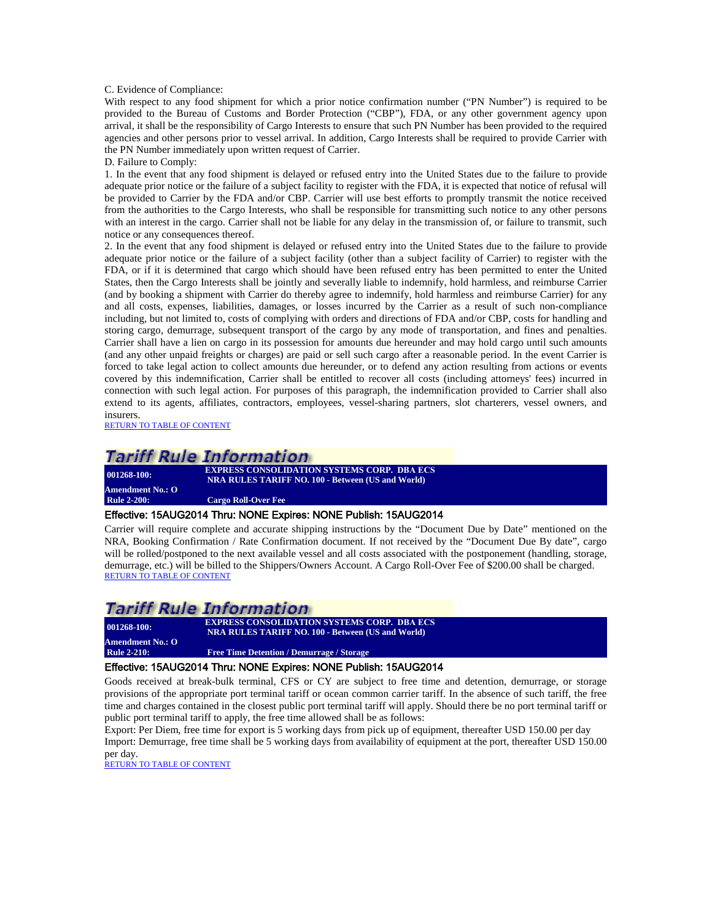C. Evidence of Compliance:

With respect to any food shipment for which a prior notice confirmation number ("PN Number") is required to be provided to the Bureau of Customs and Border Protection ("CBP"), FDA, or any other government agency upon arrival, it shall be the responsibility of Cargo Interests to ensure that such PN Number has been provided to the required agencies and other persons prior to vessel arrival. In addition, Cargo Interests shall be required to provide Carrier with the PN Number immediately upon written request of Carrier.

D. Failure to Comply:

1. In the event that any food shipment is delayed or refused entry into the United States due to the failure to provide adequate prior notice or the failure of a subject facility to register with the FDA, it is expected that notice of refusal will be provided to Carrier by the FDA and/or CBP. Carrier will use best efforts to promptly transmit the notice received from the authorities to the Cargo Interests, who shall be responsible for transmitting such notice to any other persons with an interest in the cargo. Carrier shall not be liable for any delay in the transmission of, or failure to transmit, such notice or any consequences thereof.

2. In the event that any food shipment is delayed or refused entry into the United States due to the failure to provide adequate prior notice or the failure of a subject facility (other than a subject facility of Carrier) to register with the FDA, or if it is determined that cargo which should have been refused entry has been permitted to enter the United States, then the Cargo Interests shall be jointly and severally liable to indemnify, hold harmless, and reimburse Carrier (and by booking a shipment with Carrier do thereby agree to indemnify, hold harmless and reimburse Carrier) for any and all costs, expenses, liabilities, damages, or losses incurred by the Carrier as a result of such non-compliance including, but not limited to, costs of complying with orders and directions of FDA and/or CBP, costs for handling and storing cargo, demurrage, subsequent transport of the cargo by any mode of transportation, and fines and penalties. Carrier shall have a lien on cargo in its possession for amounts due hereunder and may hold cargo until such amounts (and any other unpaid freights or charges) are paid or sell such cargo after a reasonable period. In the event Carrier is forced to take legal action to collect amounts due hereunder, or to defend any action resulting from actions or events covered by this indemnification, Carrier shall be entitled to recover all costs (including attorneys' fees) incurred in connection with such legal action. For purposes of this paragraph, the indemnification provided to Carrier shall also extend to its agents, affiliates, contractors, employees, vessel-sharing partners, slot charterers, vessel owners, and insurers.

[RETURN TO TABLE OF CONTENT](#page-2-0)

## **Tariff Rule Information**

**Amendment No.: O**

**001268-100: EXPRESS CONSOLIDATION SYSTEMS CORP. DBA ECS NRA RULES TARIFF NO. 100 - Between (US and World)**

<span id="page-14-0"></span>**Cargo Roll-Over Fee** 

#### Effective: 15AUG2014 Thru: NONE Expires: NONE Publish: 15AUG2014

Carrier will require complete and accurate shipping instructions by the "Document Due by Date" mentioned on the NRA, Booking Confirmation / Rate Confirmation document. If not received by the "Document Due By date", cargo will be rolled/postponed to the next available vessel and all costs associated with the postponement (handling, storage, demurrage, etc.) will be billed to the Shippers/Owners Account. A Cargo Roll-Over Fee of \$200.00 shall be charged.<br>[RETURN TO TABLE OF CONTENT](#page-2-0)

## Tariff Rule Information

**Amendment No.: O**

**001268-100: EXPRESS CONSOLIDATION SYSTEMS CORP. DBA ECS NRA RULES TARIFF NO. 100 - Between (US and World) Free Time Detention / Demurrage / Storage** 

## <span id="page-14-1"></span>Effective: 15AUG2014 Thru: NONE Expires: NONE Publish: 15AUG2014

Goods received at break-bulk terminal, CFS or CY are subject to free time and detention, demurrage, or storage provisions of the appropriate port terminal tariff or ocean common carrier tariff. In the absence of such tariff, the free time and charges contained in the closest public port terminal tariff will apply. Should there be no port terminal tariff or public port terminal tariff to apply, the free time allowed shall be as follows:

Export: Per Diem, free time for export is 5 working days from pick up of equipment, thereafter USD 150.00 per day Import: Demurrage, free time shall be 5 working days from availability of equipment at the port, thereafter USD 150.00 per day.<br>RETURN TO TABLE OF CONTENT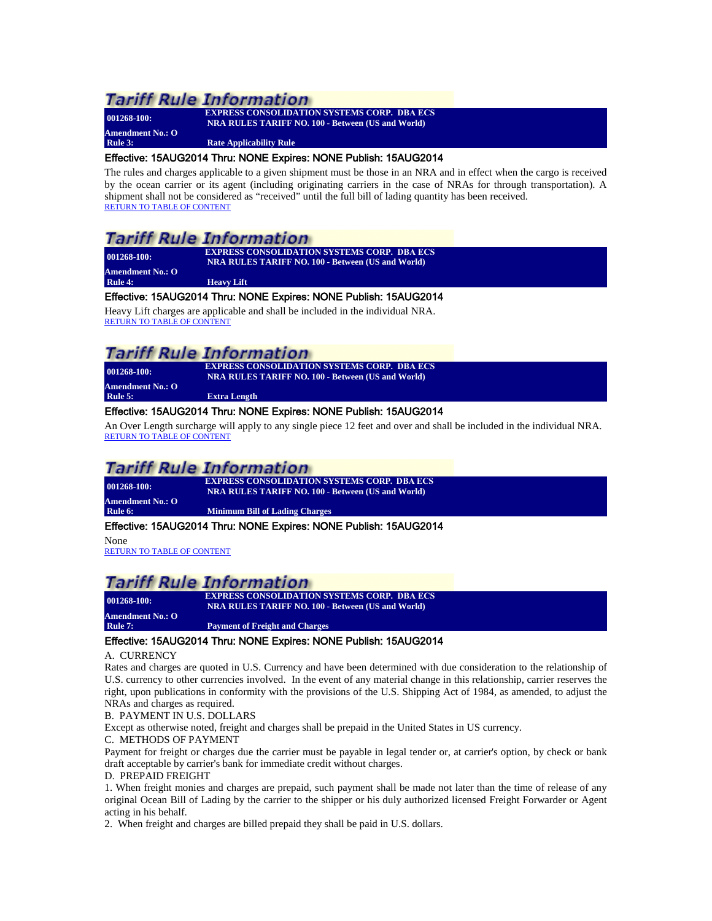**Amendment No.: O**

**001268-100: EXPRESS CONSOLIDATION SYSTEMS CORP. DBA ECS NRA RULES TARIFF NO. 100 - Between (US and World)**

<span id="page-15-0"></span>**Rule 3:** Rate Applicability Rule

## Effective: 15AUG2014 Thru: NONE Expires: NONE Publish: 15AUG2014

The rules and charges applicable to a given shipment must be those in an NRA and in effect when the cargo is received by the ocean carrier or its agent (including originating carriers in the case of NRAs for through transportation). A shipment shall not be considered as "received" until the full bill of lading quantity has been received. [RETURN TO TABLE OF CONTENT](#page-2-0)

## **Tariff Rule Information**

| $001268 - 100$ :        | <b>EXPRESS CONSOLIDATION SYSTEMS CORP. DBA ECS</b>       |
|-------------------------|----------------------------------------------------------|
|                         | <b>NRA RULES TARIFF NO. 100 - Between (US and World)</b> |
| <b>Amendment No.: O</b> |                                                          |
| Rule 4:                 | <b>Heavy Lift</b>                                        |

## <span id="page-15-1"></span>Effective: 15AUG2014 Thru: NONE Expires: NONE Publish: 15AUG2014

Heavy Lift charges are applicable and shall be included in the individual NRA. [RETURN TO TABLE OF CONTENT](#page-2-0)

## **Tariff Rule Information**

| $001268 - 100$ : | <b>EXPRESS CONSOLIDATION SYSTEMS CORP. DBA ECS</b><br><b>NRA RULES TARIFF NO. 100 - Between (US and World)</b> |
|------------------|----------------------------------------------------------------------------------------------------------------|
| Amendment No.: O |                                                                                                                |
| Rule 5:          | <b>Extra Length</b>                                                                                            |
|                  |                                                                                                                |

## <span id="page-15-2"></span>Effective: 15AUG2014 Thru: NONE Expires: NONE Publish: 15AUG2014

An Over Length surcharge will apply to any single piece 12 feet and over and shall be included in the individual NRA. [RETURN TO TABLE OF CONTENT](#page-2-0)

## **Tariff Rule Information**

| $001268 - 100:$         | <b>EXPRESS CONSOLIDATION SYSTEMS CORP. DBA ECS</b><br>NRA RULES TARIFF NO. 100 - Between (US and World) |  |
|-------------------------|---------------------------------------------------------------------------------------------------------|--|
| <b>Amendment No.: O</b> |                                                                                                         |  |
| Rule 6:                 | <b>Minimum Bill of Lading Charges</b>                                                                   |  |
|                         |                                                                                                         |  |

### <span id="page-15-3"></span>Effective: 15AUG2014 Thru: NONE Expires: NONE Publish: 15AUG2014

None

[RETURN TO TABLE OF CONTENT](#page-2-0)

## **Tariff Rule Information**

**001268-100: EXPRESS CONSOLIDATION SYSTEMS CORP. DBA ECS NRA RULES TARIFF NO. 100 - Between (US and World) Amendment No.: O Rayment of Freight and Charges** 

### <span id="page-15-4"></span>Effective: 15AUG2014 Thru: NONE Expires: NONE Publish: 15AUG2014

### A. CURRENCY

Rates and charges are quoted in U.S. Currency and have been determined with due consideration to the relationship of U.S. currency to other currencies involved. In the event of any material change in this relationship, carrier reserves the right, upon publications in conformity with the provisions of the U.S. Shipping Act of 1984, as amended, to adjust the NRAs and charges as required.

B. PAYMENT IN U.S. DOLLARS

Except as otherwise noted, freight and charges shall be prepaid in the United States in US currency.

C. METHODS OF PAYMENT

Payment for freight or charges due the carrier must be payable in legal tender or, at carrier's option, by check or bank draft acceptable by carrier's bank for immediate credit without charges.

### D. PREPAID FREIGHT

1. When freight monies and charges are prepaid, such payment shall be made not later than the time of release of any original Ocean Bill of Lading by the carrier to the shipper or his duly authorized licensed Freight Forwarder or Agent acting in his behalf.

2. When freight and charges are billed prepaid they shall be paid in U.S. dollars.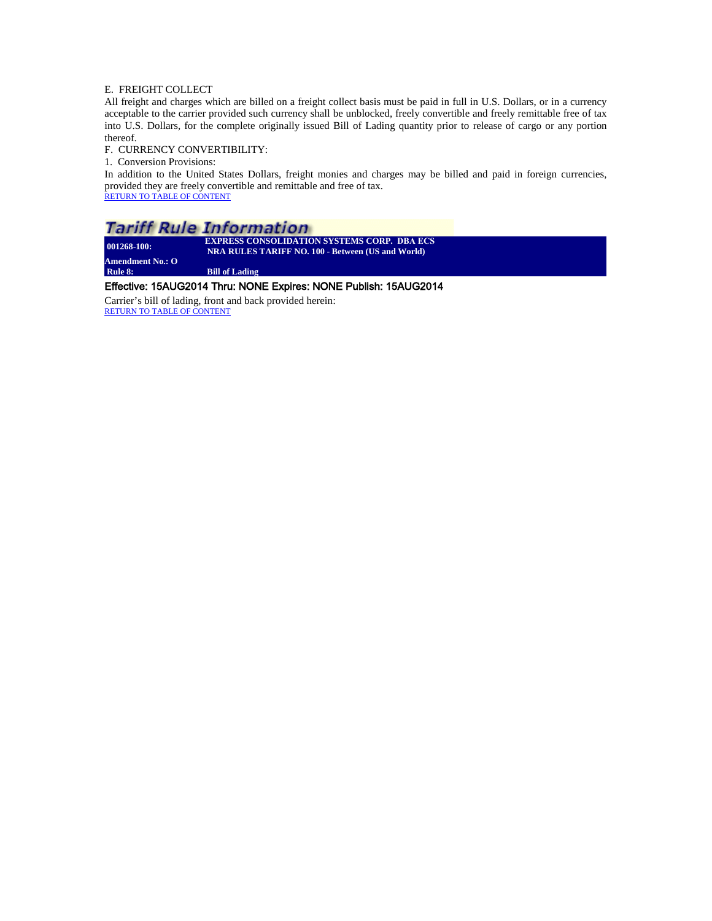### E. FREIGHT COLLECT

All freight and charges which are billed on a freight collect basis must be paid in full in U.S. Dollars, or in a currency acceptable to the carrier provided such currency shall be unblocked, freely convertible and freely remittable free of tax into U.S. Dollars, for the complete originally issued Bill of Lading quantity prior to release of cargo or any portion thereof.

#### F. CURRENCY CONVERTIBILITY:

1. Conversion Provisions:

In addition to the United States Dollars, freight monies and charges may be billed and paid in foreign currencies, provided they are freely convertible and remittable and free of tax. [RETURN TO TABLE OF CONTENT](#page-2-0)

## **Tariff Rule Information**

| $001268 - 100$ : | <b>EXPRESS CONSOLIDATION SYSTEMS CORP. DBA ECS</b><br><b>NRA RULES TARIFF NO. 100 - Between (US and World)</b> |
|------------------|----------------------------------------------------------------------------------------------------------------|
| Amendment No.: O |                                                                                                                |
| Rule 8:          | <b>Bill of Lading</b>                                                                                          |

### Effective: 15AUG2014 Thru: NONE Expires: NONE Publish: 15AUG2014

Carrier's bill of lading, front and back provided herein: [RETURN TO TABLE OF CONTENT](#page-2-0)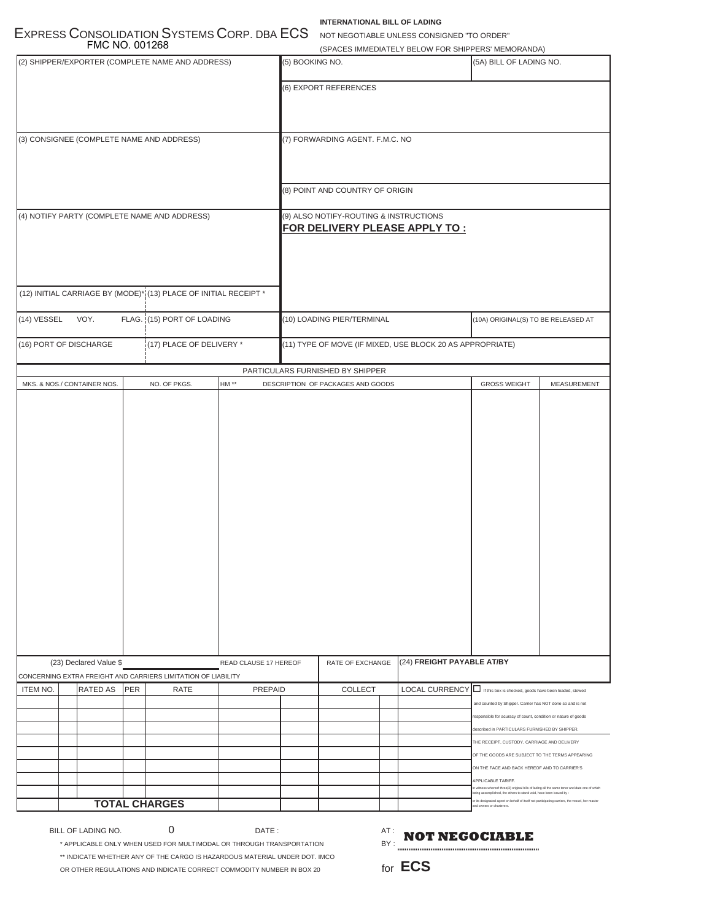## **INTERNATIONAL BILL OF LADING**

EXPRESS CONSOLIDATION SYSTEMS CORP. DBA ECS NOT NEGOTIABLE UNLESS CONSIGNED "TO ORDER" FMC NO. 001268

|                                                  | <b>FMC NO. 001268</b>                     |                                                                         |                                                                  |                                 |  |                                   |                                                                                                                           | (SPACES IMMEDIATELY BELOW FOR SHIPPERS' MEMORANDA)        |                                                                                                                                                                                                                                          |             |
|--------------------------------------------------|-------------------------------------------|-------------------------------------------------------------------------|------------------------------------------------------------------|---------------------------------|--|-----------------------------------|---------------------------------------------------------------------------------------------------------------------------|-----------------------------------------------------------|------------------------------------------------------------------------------------------------------------------------------------------------------------------------------------------------------------------------------------------|-------------|
| (2) SHIPPER/EXPORTER (COMPLETE NAME AND ADDRESS) |                                           |                                                                         | (5) BOOKING NO.<br>(5A) BILL OF LADING NO.                       |                                 |  |                                   |                                                                                                                           |                                                           |                                                                                                                                                                                                                                          |             |
|                                                  |                                           |                                                                         |                                                                  |                                 |  | (6) EXPORT REFERENCES             |                                                                                                                           |                                                           |                                                                                                                                                                                                                                          |             |
|                                                  | (3) CONSIGNEE (COMPLETE NAME AND ADDRESS) |                                                                         |                                                                  | (7) FORWARDING AGENT. F.M.C. NO |  |                                   |                                                                                                                           |                                                           |                                                                                                                                                                                                                                          |             |
|                                                  |                                           |                                                                         |                                                                  |                                 |  | (8) POINT AND COUNTRY OF ORIGIN   |                                                                                                                           |                                                           |                                                                                                                                                                                                                                          |             |
| (4) NOTIFY PARTY (COMPLETE NAME AND ADDRESS)     |                                           | (9) ALSO NOTIFY-ROUTING & INSTRUCTIONS<br>FOR DELIVERY PLEASE APPLY TO: |                                                                  |                                 |  |                                   |                                                                                                                           |                                                           |                                                                                                                                                                                                                                          |             |
|                                                  |                                           |                                                                         | (12) INITIAL CARRIAGE BY (MODE)* (13) PLACE OF INITIAL RECEIPT * |                                 |  |                                   |                                                                                                                           |                                                           |                                                                                                                                                                                                                                          |             |
| (14) VESSEL                                      | VOY.                                      |                                                                         | FLAG. (15) PORT OF LOADING                                       |                                 |  | (10) LOADING PIER/TERMINAL        |                                                                                                                           |                                                           | (10A) ORIGINAL(S) TO BE RELEASED AT                                                                                                                                                                                                      |             |
|                                                  | (16) PORT OF DISCHARGE                    |                                                                         | (17) PLACE OF DELIVERY *                                         |                                 |  |                                   |                                                                                                                           | (11) TYPE OF MOVE (IF MIXED, USE BLOCK 20 AS APPROPRIATE) |                                                                                                                                                                                                                                          |             |
|                                                  |                                           |                                                                         |                                                                  |                                 |  | PARTICULARS FURNISHED BY SHIPPER  |                                                                                                                           |                                                           |                                                                                                                                                                                                                                          |             |
|                                                  | MKS. & NOS./ CONTAINER NOS.               |                                                                         | NO. OF PKGS.                                                     | HM $**$                         |  | DESCRIPTION OF PACKAGES AND GOODS |                                                                                                                           |                                                           | <b>GROSS WEIGHT</b>                                                                                                                                                                                                                      | MEASUREMENT |
|                                                  |                                           |                                                                         |                                                                  |                                 |  | (24) FREIGHT PAYABLE AT/BY        |                                                                                                                           |                                                           |                                                                                                                                                                                                                                          |             |
|                                                  | (23) Declared Value \$                    |                                                                         | CONCERNING EXTRA FREIGHT AND CARRIERS LIMITATION OF LIABILITY    | READ CLAUSE 17 HEREOF           |  | RATE OF EXCHANGE                  |                                                                                                                           |                                                           |                                                                                                                                                                                                                                          |             |
| <b>ITEM NO.</b>                                  | RATED AS                                  | PER                                                                     | RATE                                                             | PREPAID                         |  | <b>COLLECT</b>                    |                                                                                                                           | <b>LOCAL CURRENCY</b>                                     | If this box is checked, goods have been loaded, stowed<br>and counted by Shipper. Carrier has NOT done so and is not<br>responsible for acuracy of count, condition or nature of goods<br>described in PARTICULARS FURNISHED BY SHIPPER. |             |
|                                                  |                                           |                                                                         |                                                                  |                                 |  |                                   |                                                                                                                           |                                                           | THE RECEIPT, CUSTODY, CARRIAGE AND DELIVERY                                                                                                                                                                                              |             |
|                                                  |                                           |                                                                         |                                                                  |                                 |  |                                   |                                                                                                                           |                                                           | OF THE GOODS ARE SUBJECT TO THE TERMS APPEARING                                                                                                                                                                                          |             |
|                                                  |                                           |                                                                         |                                                                  |                                 |  |                                   |                                                                                                                           |                                                           | ON THE FACE AND BACK HEREOF AND TO CARRIER'S                                                                                                                                                                                             |             |
|                                                  |                                           |                                                                         |                                                                  |                                 |  |                                   |                                                                                                                           |                                                           | APPLICABLE TARIFF.<br>witness whereof three(3) original bills of lading all the same tenor and date one of which<br>eing accomplished, the others to stand void, have been issued by :                                                   |             |
| <b>TOTAL CHARGES</b>                             |                                           |                                                                         |                                                                  |                                 |  |                                   | r its designated agent on behalf of itself not participating carriers, the vessel, her master<br>nd owners or charterers. |                                                           |                                                                                                                                                                                                                                          |             |

BILL OF LADING NO. 0

 $DATE:$ 

 $BY:$   $\bullet \bullet \bullet \bullet \bullet \bullet \bullet$ **NOT NEGOCIABLE** 

\* APPLICABLE ONLY WHEN USED FOR MULTIMODAL OR THROUGH TRANSPORTATION \*\* INDICATE WHETHER ANY OF THE CARGO IS HAZARDOUS MATERIAL UNDER DOT. IMCO OR OTHER REGULATIONS AND INDICATE CORRECT COMMODITY NUMBER IN BOX 20

for **ECS**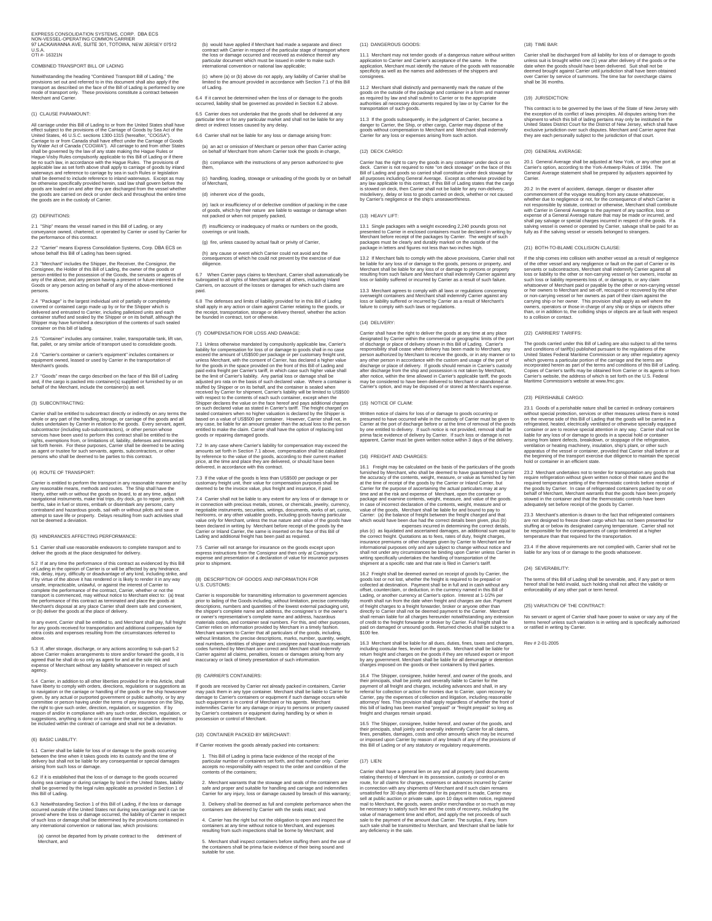EXPRESS CONSOLIDATION SYSTEMS, CORP. DBA ECS<br>NON-VESSEL-OPERATING COMMON CARRIER<br>97 LACKAWANNA AVE, SUITE 301, TOTOWA, NEW JERSEY 07512<br>U.S.A.<br>0TI #- 16321N

COMBINED TRANSPORT BILL OF LADING

Notwithstanding the heading "Combined Transport Bill of Lading," the<br>provisions set out and referred to in this document shall also apply if the<br>transport as described on the face of the Bill of Lading is performed by one<br>

#### (1) CLAUSE PARAMOUNT:

All carriage under this Bill of Lading to or from the United States shall have<br>effect subject to the provisions of the Carriage of Goods by Sea Act of the<br>United States, 46 U.S.C. sections 1300-1315 (neveralter, "COCSA").<br>

#### (2) DEFINITIONS:

2.1 "Ship" means the vessel named in this Bill of Lading, or any conveyance owned, chartered, or operated by Carrier or used by Carrier for the performance of this contract.

2.2 "Carrier" means Express Consolidation Systems, Corp. DBA ECS on whose behalf this Bill of Lading has been signed.

2.3 "Merchant" includes the Shipper, the Receiver, the Consignor, the<br>Consignee, the Holder of this Bill of Lading, the owner of the goods or<br>person entitled to the possession of the Goods, the servants or agents of<br>any of

2.4 "Package" is the largest individual unit of partially or completely<br>covered or contained cargo made up by or for the Shipper which is<br>delivered and entrusted to Carrier, including palletized units and each<br>container st

2.5 "Container" includes any container, trailer, transportable tank, lift van, flat, pallet, or any similar article of transport used to consolidate goods.

2.6 "Carrier's container or carrier's equipment" includes containers or equipment owned, leased or used by Carrier in the transportation of Merchant's goods.

2.7 "Goods" mean the cargo described on the face of this Bill of Lading and, if the cargo is packed into container(s) supplied or furnished by or on behalf of the Merchant, include the container(s) as well.

#### (3) SUBCONTRACTING:

Carrier shall be entitled to subcontract directly or indirectly on any terms the order of the product and duties understanding, storage, or carriage of the goods and all<br>subcessure and the subcontract of including sub-subc

#### (4) ROUTE OF TRANSPORT:

Carrier is entitled to perform the transport in any reasonable means, methods and routes. The Ship shall have the any reasonable means, methods and routes. The Ship shall have the mavigational instruments, make trial trips

#### (5) HINDRANCES AFFECTING PERFORMANCE:

5.1 Carrier shall use reasonable endeavors to complete transport and to deliver the goods at the place designated for delivery.

5.2 If at any time the performance of this contract as evidenced by this Bill<br>of Lading in the opinion of Carrier is or will be affected by any hindrance,<br>risk, delay, injury, difficulty or disadvantage of any kind, includ unsale, impracticable, unlawful, or against the interest of Carrier to<br>complete the performance of the contract, Carrier, whether or not the<br>transport is commenced, may without notice to Merchant elect to: (a) treat<br>the pe

In any event, Carrier shall be entitled to, and Merchant shall pay, full freight<br>for any goods received for transportation and additional compensation for<br>extra costs and expenses resulting from the circumstances referred

5.3 If, after storage, discharge, or any actions according to sub-part 5.2<br>above Carrier makes arrangements to store and/or forward the goods, it is<br>agreed that he shall do so only as agent for and at the sole risk and<br>exp

5.4 Carrier, in addition to all other liberties provided for in this Article, shall<br>have liberty to comply with orders, directions, regulations or suggestions as have liberly to comply with orders, directions, regulations or suggestions as<br>to navigation or the carriage or handling of the goods or the ship howsever<br>given, by any actual or purported government or public authority, or

#### (6) BASIC LIABILITY:

6.1 Carrier shall be liable for loss of or damage to the goods occurring<br>between the time when it takes goods into its custody and the time of<br>delivery but shall not be liable for any consequential or special damages<br>arisi

6.2 If it is established that the loss of or damage to the goods occurred<br>during sea carriage or during carriage by land in the United States, liability<br>shall be governed by the legal rules applicable as provided in Sectio during sea carriag<br>shall be governed<br>this Bill of Lading.

6.3 Notwithstanding Section 1 of this Bill of Lading, if the loss or damage<br>occurred outside of the United States not during sea carriage and it can be<br>proved where the loss or damage occurred, the liability of Carrier in

(a) cannot be departed from by private contract to the detriment of Merchant, and

(b) would have applied if Merchant had made a separate and direct<br>contract with Carrier in respect of the particular stage of transport where<br>the loss or damage occurred and received as evidence thereof any<br>particular docu

(c) where (a) or (b) above do not apply, any liability of Carrier shall be limited to the amount provided in accordance with Section 7.1 of this Bill of Lading.

6.4 If it cannot be determined when the loss of or damage to the goods occurred, liability shall be governed as provided in Section 6.2 above.

6.5 Carrier does not undertake that the goods shall be delivered at any particular time or for any particular market and shall not be liable for any direct or indirect losses caused by any delay. 6.6 Carrier shall not be liable for any loss or damage arising from:

(a) an act or omission of Merchant or person other than Carrier acting on behalf of Merchant from whom Carrier took the goods in charge,

(b) compliance with the instructions of any person authorized to give them,

(c) handling, loading, stowage or unloading of the goods by or on behalf of Merchant, (d) inherent vice of the goods,

(e) lack or insufficiency of or defective condition of packing in the case of goods, which by their nature are liable to wastage or damage when not packed or when not properly packed,

(f) insufficiency or inadequacy of marks or numbers on the goods, coverings or unit loads,

(g) fire, unless caused by actual fault or privity of Carrier

(h) any cause or event which Carrier could not avoid and the consequences of which he could not prevent by the exercise of due diligence.

6.7 When Carrier pays claims to Merchant, Carrier shall automatically be<br>subrogated to all rights of Merchant against all others, including Inland<br>Carriers, on account of the losses or damages for which such claims are<br>pai

6.8 The defenses and limits of liability provided for in this Bill of Lading<br>shall apply in any action or claim against Carrier relating to the goods, or<br>the receipt, transportation, storage or delivery thereof, whether th

#### (7) COMPENSATION FOR LOSS AND DAMAGE:

7.1 Unleas otherwise mandated by compulsority applicable law, Carrier's<br>includibly for compensation for loss of or damage to goods shall in no case<br>exceed the amount of USS500 per package or per customary freight unit,<br>un Shipper declares the value on the face hereof and pays additional charges<br>on such declared value as stated in Carner's tariff. The freight charged on<br>stated containers when no higher valuation is declared by the Shipper is

7.2 In any case where Carrier's liability for compensation may exceed the<br>amounts set forth in Section 7.1 above, compensation shall be calculated<br>by reference to the value of the goods, according to their current market<br>p

7.3 If the value of the goods is less than US\$500 per package or per customary freight unit, their value for compensation purposes shall be deemed to be the invoice value, plus freight and insurance, if paid.

7.4 Carrier shall not be liable to any extent for any loss of or damage to or<br>in connection with precious metals, stones, or chemicals, jewelry, currency,<br>negotiable instruments, securities, writings, documents, works of a

7.5 Carrier will not arrange for insurance on the goods except upon<br>express instructions from the Consignor and then only at Consignor's<br>expense and presentation of a declaration of value for insurance purposes<br>prior to sh

(8) DESCRIPTION OF GOODS AND INFORMATION FOR U.S. CUSTOMS:

Carrier is responsible for transmitting information to government agencies<br>correct bading of the Goods including, without limitation, precise commodity<br>descriptions, numbers and quantities of the lowest external packaging

#### (9) CARRIER'S CONTAINERS:

If goods are received by Carrier not already packed in containers, Carrie may pack them in any type container. Merchant shall be liable to Carrier for damage to Carrier's containers or equipment if such damage occurs while such equipment is in control of Merchant or his agents. Merchant<br>indemnifies Carrier for any damage or injury to persons or property caused<br>by Carrier's containers or equipment during handling by or when in<br>possession or c

#### (10) CONTAINER PACKED BY MERCHANT:

If Carrier receives the goods already packed into containers:

1. This Bill of Lading is prima facie evidence of the receipt of the<br>particular number of containers set forth, and that number only. Carrier<br>accepts no responsibility with respect to the order and condition of the<br>content

2. Merchant warrants that the stowage and seals of the containers are safe and proper and suitable for handling and carriage and indemnifies Carrier for any injury, loss or damage caused by breach of this warranty;

3. Delivery shall be deemed as full and complete performance when the containers are delivered by Carrier with the seals intact; and

4. Carrier has the right but not the obligation to open and inspect the containers at any time without notice to Merchant, and expenses resulting from such inspections shall be borne by Merchant; and

5. Merchant shall inspect containers before stuffing them and the use of the containers shall be prima facie evidence of their being sound and suitable for use.

(11) DANGEROUS GOODS:

11.1 Merchant may not tender goods of a dangerous nature without written application to Carrier and Carrier's acceptance of the same. In the<br>application, Merchant must identify the nature of the goods with reasonable<br>specificity as well as the names and addresses of the shippers and consignees.

11.2. Merchant shall distinctly and permanently mark the nature of the<br>goods on the outside of the package and container in a form and manner<br>as required by law and shall submit to Carrier or to the appropriate<br>authorities

11.3 If the goods subsequently, in the judgment of Carrier, become a<br>danger to Carrier, the Ship, or other cargo, Carrier may dispose of the<br>goods without compensation to Merchant and Merchant shall indemnify<br>Carrier for a

#### (12) DECK CARGO:

Carrier has the right to carry the goods in any container under deck on on<br>deck. Carrier is not required to note 'on deck stowage' on the face of this<br>Bill of Lading and goods so carried shall constitute under deck stowage

#### (13) HEAVY LIFT:

13.1 Single packages with a weight exceeding 2,240 pounds gross not<br>presented to Carrier in enclosed containers must be declared in writing by<br>Merchant before receipt of the packages by Carrier. The weight of such<br>packages

13.2 if Merchant falls to comply with the above provisions, Carrier shall not<br>be liable for any loss of or damage to the goods, persons or property, and<br>Merchant shall be liable for any loss of or damage to persons or prop

13.3 Merchant agrees to comply with all laws or regulations concerning<br>overweight containers and Merchant shall indemnify Carrier against any<br>loss or liability suffered or incurred by Carrier as a result of Merchant's<br>fail

#### (14) DELIVERY:

Carrier shall have the right to deliver the goods at any time at any place<br>designated by Carrier within the commercial or geographic limits of the port<br>designated by Care of delivery shown in this Bill of Lading. Carriers<br>

#### (15) NOTICE OF CLAIM:

Written notice of claims for loss of or damage to goods occurring or<br>pressumed to have occurred while in the custody of Carrier must be given to<br>Carrier at the port of discharge before or at the time of removal of the good

#### (16) FREIGHT AND CHARGES:

16.1 Freight may be calculated on the basis of the particulars of the goods.<br>The furnished by Merchant, who shall be deemed to have guaranteed to Carrier<br>the accuracy of the contents, weight, measure, or value as furnished

16.2 Freight shall be deemed earned on receipt of goods by Carrier, the<br>goods lost or not lost, whether the freight is required to be prepaid or<br>collected at destination. Payment shall be in full and in cash without any offset, counterclaim, or deduction, in the currency ramed in this Bill distillation, or another currency at Carrier's option. Interest at 1-1/2% per<br>Lading, or another currency at Carrier's option. Interest at 1-1/2% per<br>o \$100 fee.

16.3. Merchant shall be liable for all dues, duites, fines, taxes and charges, including consular fees, levied on the goods. Merchant shall be liable for return freight and charges on the goods if they are refused export o

16.4 The Shipper, consignee, holder hereof, and owner of the goods, and<br>their principals, shall be jointly and severally liable to Carrier for the<br>metric principals in the division of the state of the control of the form<br>c freight and charges remain unpaid.

16.5 The Shipper, consignee, holder hereof, and owner of the goods, and<br>their principals, shall jointly and severally indemnify Carrier for all claims,<br>fines, penalties, damages, costs and other amounts which may be incurr

#### (17) LIEN:

Carrier shall have a general lien on any and all property (and documents<br>relating thereto) of Merchant in its possession, custody or control or en<br>route, for all claims for charges, expenses or advances incurred by Carrier

#### (18) TIME BAR:

Carrier shall be discharged from all liability for loss of or damage to goods<br>unless suit is brought within one (1) year after delivery of the goods or the<br>date when the goods should have been delivered. Suit shall not be<br>

#### (19) JURISDICTION:

This contract is to be governed by the laws of the State of New Jersey with<br>the exception of its conflict of laws principles. All disputes arissing from the<br>shipment to which this bill of lading pertains may only be instit

#### (20) GENERAL AVERAGE:

20.1 General Average shall be adjusted at New York, or any other port at Carrier's option, according to the York-Antwerp Rules of 1994. The General Average statement shall be prepared by adjusters appointed by Carrier.

20.2 In the event of accident, damage, danger or disaster after<br>commencement of the voyage resulting from any cause whatsoever,<br>commencement of the voyage resulting from any cause whatsoever,<br>not responsible by statute, co

#### (21) BOTH-TO-BLAME COLLISION CLAUSE:

If the ship comes into collision with another vessel as a result of negligence of the part of Carrier or its<br>of the other vessel and any negligence or fault on the part of Carrier or its<br>essens or subcontractors, Merchant

#### (22) CARRIERS' TARIFFS:

The goods carried under this Bill of Lading are also subject to all the terms<br>and conditions of tariff(s) published pursuant to the regulations of the<br>United States Federal Maritime Commission or any other regulatory agenc

#### (23) PERISHABLE CARGO:

(24) SEVERABILITY:

Rev # 2-01-2005

(25) VARIATION OF THE CONTRACT:

23.1 Goods of a perishable nature shall be carried in ordinary containers<br>without special protection, services or other measures unless there is noted<br>without special protection, services or other measures unless carries i

23.2 Merchant undertakes not to tender for transportation any goods<br>require refrigeration without given written notice of their nature and th require refrigeration without given written notice of their nature and the<br>required temperature setting of the thermostatic controls before receipt of<br>the goods by Carrier. In case of refrigerated containers packed by or o

23.3. Merchant's attention is drawn to the fact that refrigerated containers<br>are not designed to freeze down cargo which has not been presented for<br>stuffing at or below its designated carrying temperature. Carrier shall no

23.4 If the above requirements are not complied with, Carrier shall not be liable for any loss of or damage to the goods whatsoever.

The terms of this Bill of Lading shall be severable, and, if any part or term<br>hereof shall be held invalid, such holding shall not affect the validity or<br>enforceability of any other part or term hereof.

No servant or agent of Carrier shall have power to waive or vary any of the terms hereof unless such variation is in writing and is specifically authorized or ratified in writing by Carrier.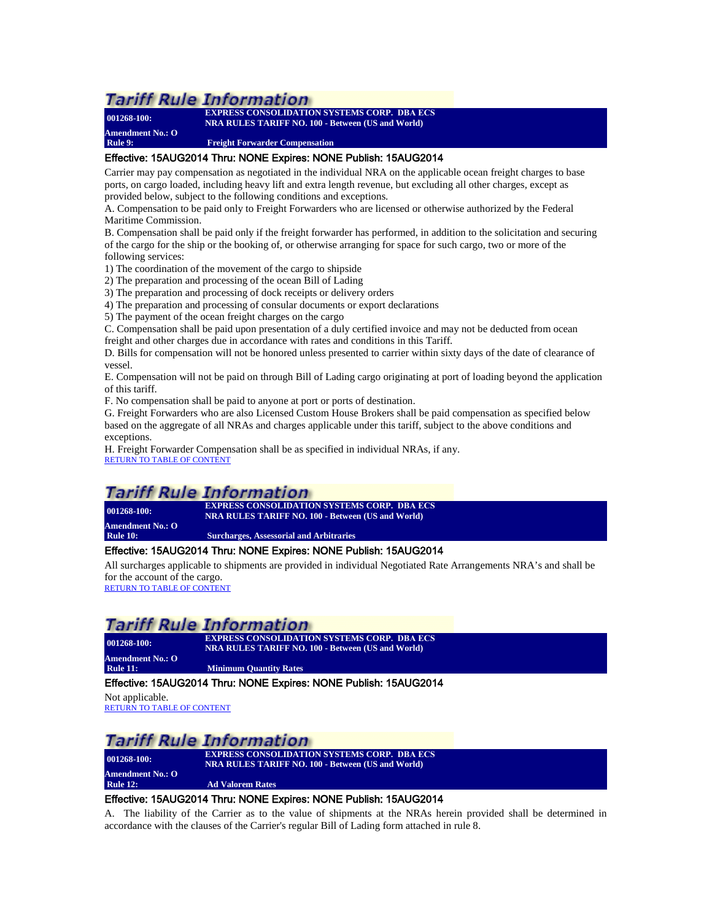**Amendment No.: O**

**001268-100: EXPRESS CONSOLIDATION SYSTEMS CORP. DBA ECS NRA RULES TARIFF NO. 100 - Between (US and World)**

<span id="page-19-0"></span>**Rule 9: Freight Forwarder Compensation**

### Effective: 15AUG2014 Thru: NONE Expires: NONE Publish: 15AUG2014

Carrier may pay compensation as negotiated in the individual NRA on the applicable ocean freight charges to base ports, on cargo loaded, including heavy lift and extra length revenue, but excluding all other charges, except as provided below, subject to the following conditions and exceptions.

A. Compensation to be paid only to Freight Forwarders who are licensed or otherwise authorized by the Federal Maritime Commission.

B. Compensation shall be paid only if the freight forwarder has performed, in addition to the solicitation and securing of the cargo for the ship or the booking of, or otherwise arranging for space for such cargo, two or more of the following services:

1) The coordination of the movement of the cargo to shipside

2) The preparation and processing of the ocean Bill of Lading

3) The preparation and processing of dock receipts or delivery orders

4) The preparation and processing of consular documents or export declarations

5) The payment of the ocean freight charges on the cargo

C. Compensation shall be paid upon presentation of a duly certified invoice and may not be deducted from ocean freight and other charges due in accordance with rates and conditions in this Tariff.

D. Bills for compensation will not be honored unless presented to carrier within sixty days of the date of clearance of vessel.

E. Compensation will not be paid on through Bill of Lading cargo originating at port of loading beyond the application of this tariff.

F. No compensation shall be paid to anyone at port or ports of destination.

G. Freight Forwarders who are also Licensed Custom House Brokers shall be paid compensation as specified below based on the aggregate of all NRAs and charges applicable under this tariff, subject to the above conditions and exceptions.

H. Freight Forwarder Compensation shall be as specified in individual NRAs, if any. [RETURN TO TABLE OF CONTENT](#page-2-0)

## *Tariff Rule Information*

**001268-100: EXPRESS CONSOLIDATION SYSTEMS CORP. DBA ECS NRA RULES TARIFF NO. 100 - Between (US and World) Amendment No.: O Surcharges, Assessorial and Arbitraries** 

### <span id="page-19-1"></span>Effective: 15AUG2014 Thru: NONE Expires: NONE Publish: 15AUG2014

All surcharges applicable to shipments are provided in individual Negotiated Rate Arrangements NRA's and shall be for the account of the cargo.<br>[RETURN TO TABLE OF CONTENT](#page-2-0)

## **Tariff Rule Information**

**Amendment No.: O Rule 11: Minimum Quantity Rates**

**001268-100: EXPRESS CONSOLIDATION SYSTEMS CORP. DBA ECS NRA RULES TARIFF NO. 100 - Between (US and World)**

## <span id="page-19-2"></span>Effective: 15AUG2014 Thru: NONE Expires: NONE Publish: 15AUG2014

Not applicable. [RETURN TO TABLE OF CONTENT](#page-2-0)

## Tariff Rule Information

**001268-100: EXPRESS CONSOLIDATION SYSTEMS CORP. DBA ECS NRA RULES TARIFF NO. 100 - Between (US and World) Amendment No.: O Ad Valorem Rates** 

## <span id="page-19-3"></span>Effective: 15AUG2014 Thru: NONE Expires: NONE Publish: 15AUG2014

A. The liability of the Carrier as to the value of shipments at the NRAs herein provided shall be determined in accordance with the clauses of the Carrier's regular Bill of Lading form attached in rule 8.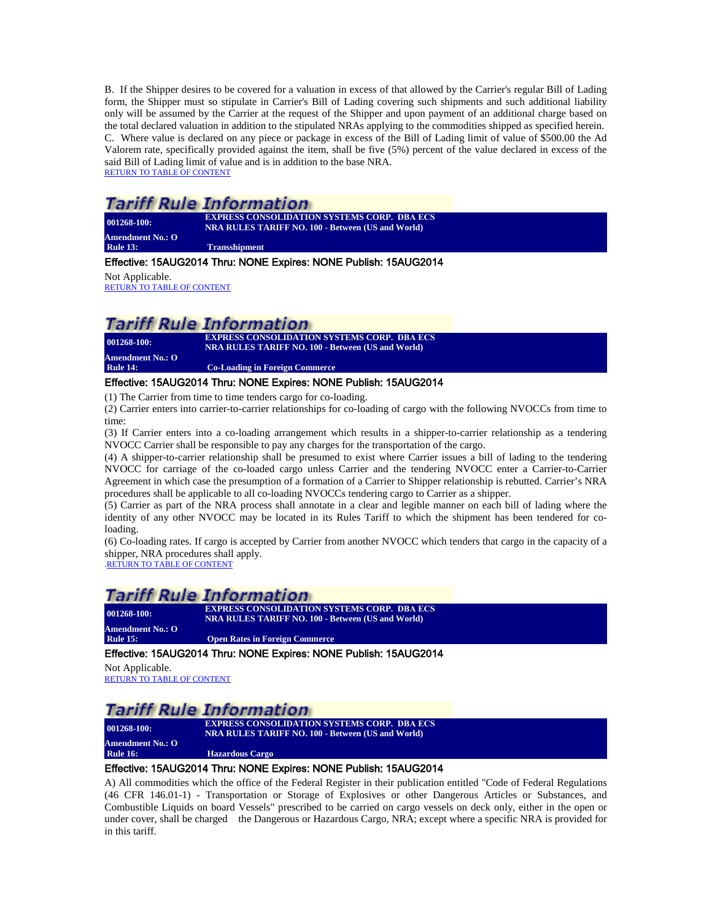B. If the Shipper desires to be covered for a valuation in excess of that allowed by the Carrier's regular Bill of Lading form, the Shipper must so stipulate in Carrier's Bill of Lading covering such shipments and such additional liability only will be assumed by the Carrier at the request of the Shipper and upon payment of an additional charge based on the total declared valuation in addition to the stipulated NRAs applying to the commodities shipped as specified herein. C. Where value is declared on any piece or package in excess of the Bill of Lading limit of value of \$500.00 the Ad Valorem rate, specifically provided against the item, shall be five (5%) percent of the value declared in excess of the said Bill of Lading limit of value and is in addition to the base NRA. [RETURN TO TABLE OF CONTENT](#page-2-0)

## Tariff Rule Information

**001268-100: EXPRESS CONSOLIDATION SYSTEMS CORP. DBA ECS NRA RULES TARIFF NO. 100 - Between (US and World) Amendment No.: O Rule 13: Transshipment**

## <span id="page-20-0"></span>Effective: 15AUG2014 Thru: NONE Expires: NONE Publish: 15AUG2014

Not Applicable.

[RETURN TO TABLE OF CONTENT](#page-2-0)

## *Tariff Rule Information*

**001268-100: EXPRESS CONSOLIDATION SYSTEMS CORP. DBA ECS NRA RULES TARIFF NO. 100 - Between (US and World) Amendment No.: O Co-Loading in Foreign Commerce** 

## <span id="page-20-1"></span>Effective: 15AUG2014 Thru: NONE Expires: NONE Publish: 15AUG2014

(1) The Carrier from time to time tenders cargo for co-loading.

(2) Carrier enters into carrier-to-carrier relationships for co-loading of cargo with the following NVOCCs from time to time:

(3) If Carrier enters into a co-loading arrangement which results in a shipper-to-carrier relationship as a tendering NVOCC Carrier shall be responsible to pay any charges for the transportation of the cargo.

(4) A shipper-to-carrier relationship shall be presumed to exist where Carrier issues a bill of lading to the tendering NVOCC for carriage of the co-loaded cargo unless Carrier and the tendering NVOCC enter a Carrier-to-Carrier Agreement in which case the presumption of a formation of a Carrier to Shipper relationship is rebutted. Carrier's NRA procedures shall be applicable to all co-loading NVOCCs tendering cargo to Carrier as a shipper.

(5) Carrier as part of the NRA process shall annotate in a clear and legible manner on each bill of lading where the identity of any other NVOCC may be located in its Rules Tariff to which the shipment has been tendered for coloading.

(6) Co-loading rates. If cargo is accepted by Carrier from another NVOCC which tenders that cargo in the capacity of a shipper, NRA procedures shall apply.

[.RETURN TO TABLE OF CONTENT](#page-2-0)

## **Tariff Rule Information**

| $001268 - 100$ : | <b>EXPRESS CONSOLIDATION SYSTEMS CORP. DBA ECS</b><br><b>NRA RULES TARIFF NO. 100 - Between (US and World).</b> |
|------------------|-----------------------------------------------------------------------------------------------------------------|
| Amendment No.: O |                                                                                                                 |
| <b>Rule 15:</b>  | <b>Open Rates in Foreign Commerce</b>                                                                           |

## <span id="page-20-2"></span>Effective: 15AUG2014 Thru: NONE Expires: NONE Publish: 15AUG2014

Not Applicable. [RETURN TO TABLE OF CONTENT](#page-2-0)

## *Tariff Rule Information*

**001268-100: EXPRESS CONSOLIDATION SYSTEMS CORP. DBA ECS NRA RULES TARIFF NO. 100 - Between (US and World) Amendment No.: O Hazardous Cargo** 

## <span id="page-20-3"></span>Effective: 15AUG2014 Thru: NONE Expires: NONE Publish: 15AUG2014

A) All commodities which the office of the Federal Register in their publication entitled "Code of Federal Regulations (46 CFR 146.01-1) - Transportation or Storage of Explosives or other Dangerous Articles or Substances, and Combustible Liquids on board Vessels" prescribed to be carried on cargo vessels on deck only, either in the open or under cover, shall be charged the Dangerous or Hazardous Cargo, NRA; except where a specific NRA is provided for in this tariff.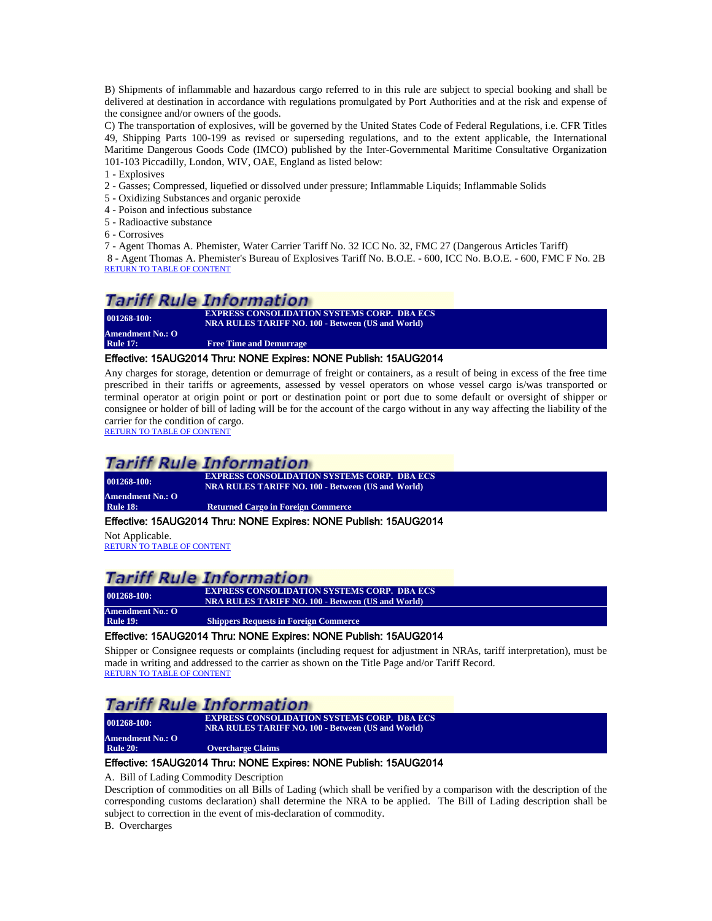B) Shipments of inflammable and hazardous cargo referred to in this rule are subject to special booking and shall be delivered at destination in accordance with regulations promulgated by Port Authorities and at the risk and expense of the consignee and/or owners of the goods.

C) The transportation of explosives, will be governed by the United States Code of Federal Regulations, i.e. CFR Titles 49, Shipping Parts 100-199 as revised or superseding regulations, and to the extent applicable, the International Maritime Dangerous Goods Code (IMCO) published by the Inter-Governmental Maritime Consultative Organization 101-103 Piccadilly, London, WIV, OAE, England as listed below:

1 - Explosives

- 2 Gasses; Compressed, liquefied or dissolved under pressure; Inflammable Liquids; Inflammable Solids
- 5 Oxidizing Substances and organic peroxide
- 4 Poison and infectious substance
- 5 Radioactive substance
- 6 Corrosives

7 - Agent Thomas A. Phemister, Water Carrier Tariff No. 32 ICC No. 32, FMC 27 (Dangerous Articles Tariff)

8 - Agent Thomas A. Phemister's Bureau of Explosives Tariff No. B.O.E. - 600, ICC No. B.O.E. - 600, FMC F No. 2B [RETURN TO TABLE OF CONTENT](#page-2-0)

## Tariff Rule Information

**001268-100: EXPRESS CONSOLIDATION SYSTEMS CORP. DBA ECS**<br>**PDA PULLES TARIFF NO. 100** Patrician (US and World) **NRA RULES TARIFF NO. 100 - Between (US and World) Amendment No.: O Free Time and Demurrage** 

#### <span id="page-21-0"></span>Effective: 15AUG2014 Thru: NONE Expires: NONE Publish: 15AUG2014

Any charges for storage, detention or demurrage of freight or containers, as a result of being in excess of the free time prescribed in their tariffs or agreements, assessed by vessel operators on whose vessel cargo is/was transported or terminal operator at origin point or port or destination point or port due to some default or oversight of shipper or consignee or holder of bill of lading will be for the account of the cargo without in any way affecting the liability of the carrier for the condition of cargo.

[RETURN TO TABLE OF CONTENT](#page-2-0)

## Tariff Rule Information

**Amendment No.: O**

**001268-100: EXPRESS CONSOLIDATION SYSTEMS CORP. DBA ECS NRA RULES TARIFF NO. 100 - Between (US and World)**

**Returned Cargo in Foreign Commerce** 

#### <span id="page-21-1"></span>Effective: 15AUG2014 Thru: NONE Expires: NONE Publish: 15AUG2014

Not Applicable. [RETURN TO TABLE OF CONTENT](#page-2-0)

## **Tariff Rule Information**

**Amendment No.: O**

**001268-100: EXPRESS CONSOLIDATION SYSTEMS CORP.** DBA ECS **NRA RULES TARIFF NO. 100 - Between (US and World)**

<span id="page-21-2"></span>**Shippers Requests in Foreign Commerce** 

**Overcharge Claims** 

### Effective: 15AUG2014 Thru: NONE Expires: NONE Publish: 15AUG2014

Shipper or Consignee requests or complaints (including request for adjustment in NRAs, tariff interpretation), must be made in writing and addressed to the carrier as shown on the Title Page and/or Tariff Record. [RETURN TO TABLE OF CONTENT](#page-2-0)

## Tariff Rule Information

**001268-100: EXPRESS CONSOLIDATION SYSTEMS CORP. DBA ECS NRA RULES TARIFF NO. 100 - Between (US and World)**

<span id="page-21-3"></span>**Amendment No.: O**

### Effective: 15AUG2014 Thru: NONE Expires: NONE Publish: 15AUG2014

A. Bill of Lading Commodity Description

Description of commodities on all Bills of Lading (which shall be verified by a comparison with the description of the corresponding customs declaration) shall determine the NRA to be applied. The Bill of Lading description shall be subject to correction in the event of mis-declaration of commodity.

B. Overcharges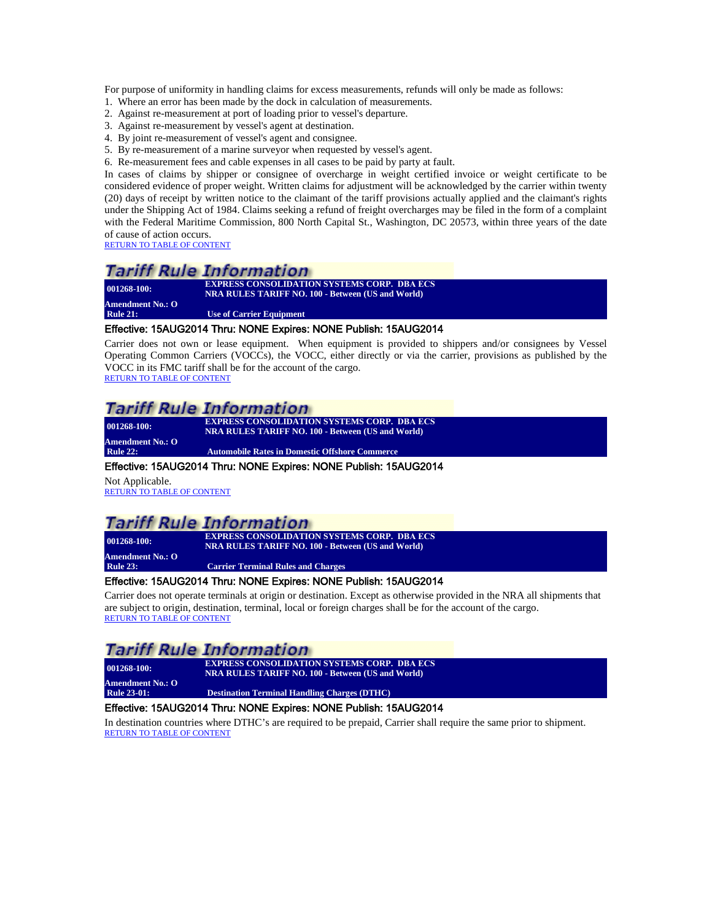For purpose of uniformity in handling claims for excess measurements, refunds will only be made as follows:

- 1. Where an error has been made by the dock in calculation of measurements.
- 2. Against re-measurement at port of loading prior to vessel's departure.
- 3. Against re-measurement by vessel's agent at destination.
- 4. By joint re-measurement of vessel's agent and consignee.
- 5. By re-measurement of a marine surveyor when requested by vessel's agent.
- 6. Re-measurement fees and cable expenses in all cases to be paid by party at fault.

In cases of claims by shipper or consignee of overcharge in weight certified invoice or weight certificate to be considered evidence of proper weight. Written claims for adjustment will be acknowledged by the carrier within twenty (20) days of receipt by written notice to the claimant of the tariff provisions actually applied and the claimant's rights under the Shipping Act of 1984. Claims seeking a refund of freight overcharges may be filed in the form of a complaint with the Federal Maritime Commission, 800 North Capital St., Washington, DC 20573, within three years of the date of cause of action occurs.

[RETURN TO TABLE OF CONTENT](#page-2-0)

## **Tariff Rule Information**

**001268-100: EXPRESS CONSOLIDATION SYSTEMS CORP. DBA ECS NRA RULES TARIFF NO. 100 - Between (US and World) Amendment No.: O Use of Carrier Equipment** 

### <span id="page-22-0"></span>Effective: 15AUG2014 Thru: NONE Expires: NONE Publish: 15AUG2014

Carrier does not own or lease equipment. When equipment is provided to shippers and/or consignees by Vessel Operating Common Carriers (VOCCs), the VOCC, either directly or via the carrier, provisions as published by the VOCC in its FMC tariff shall be for the account of the cargo. [RETURN TO TABLE OF CONTENT](#page-2-0)

# Tariff Rule Information

**001268-100: EXPRESS CONSOLIDATION SYSTEMS CORP. DBA ECS NRA RULES TARIFF NO. 100 - Between (US and World) Amendment No.: O**

**Automobile Rates in Domestic Offshore Commerce** 

#### <span id="page-22-1"></span>Effective: 15AUG2014 Thru: NONE Expires: NONE Publish: 15AUG2014

Not Applicable. [RETURN TO TABLE OF CONTENT](#page-2-0)

## Tariff Rule Information

**001268-100: EXPRESS CONSOLIDATION SYSTEMS CORP. DBA ECS Amendment No.: O**

<span id="page-22-2"></span>**Rule 23: Carrier Terminal Rules and Charges**

**NRA RULES TARIFF NO. 100 - Between (US and World)**

### Effective: 15AUG2014 Thru: NONE Expires: NONE Publish: 15AUG2014

Carrier does not operate terminals at origin or destination. Except as otherwise provided in the NRA all shipments that are subject to origin, destination, terminal, local or foreign charges shall be for the account of the cargo. [RETURN TO TABLE OF CONTENT](#page-2-0)

## **Tariff Rule Information**

| $001268 - 100:$    | <b>EXPRESS CONSOLIDATION SYSTEMS CORP. DBA ECS</b><br><b>NRA RULES TARIFF NO. 100 - Between (US and World)</b> |
|--------------------|----------------------------------------------------------------------------------------------------------------|
| Amendment No.: O   |                                                                                                                |
| <b>Rule 23-01:</b> | <b>Destination Terminal Handling Charges (DTHC)</b>                                                            |

#### <span id="page-22-3"></span>Effective: 15AUG2014 Thru: NONE Expires: NONE Publish: 15AUG2014

In destination countries where DTHC's are required to be prepaid, Carrier shall require the same prior to shipment. [RETURN TO TABLE OF CONTENT](#page-2-0)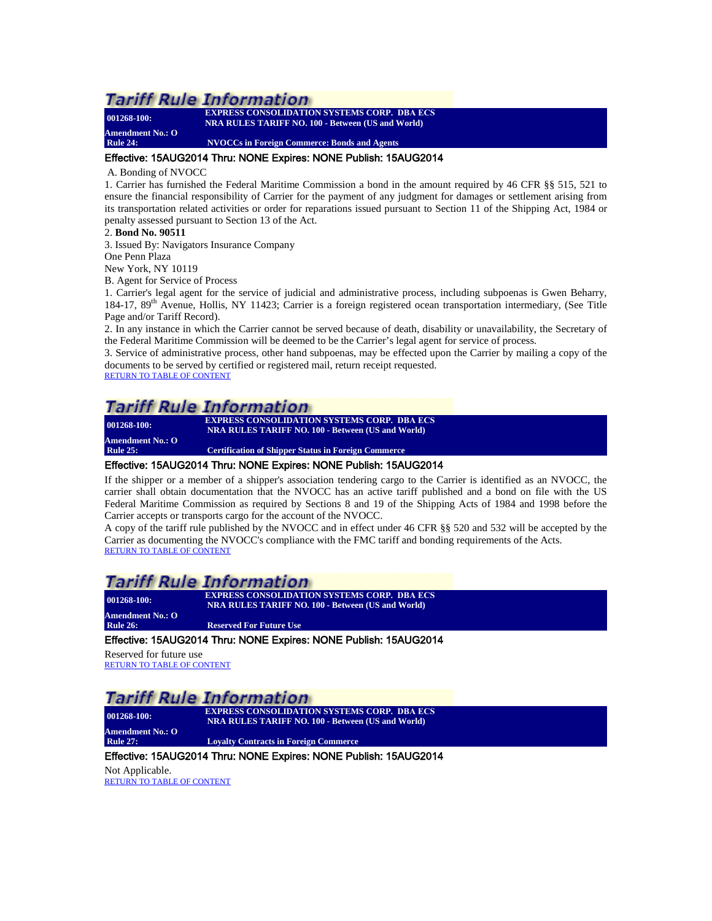**Amendment No.: O**

**001268-100: EXPRESS CONSOLIDATION SYSTEMS CORP. DBA ECS NRA RULES TARIFF NO. 100 - Between (US and World)**

<span id="page-23-0"></span>**Rule 24: NVOCCs in Foreign Commerce: Bonds and Agents**

### Effective: 15AUG2014 Thru: NONE Expires: NONE Publish: 15AUG2014

#### A. Bonding of NVOCC

1. Carrier has furnished the Federal Maritime Commission a bond in the amount required by 46 CFR §§ 515, 521 to ensure the financial responsibility of Carrier for the payment of any judgment for damages or settlement arising from its transportation related activities or order for reparations issued pursuant to Section 11 of the Shipping Act, 1984 or penalty assessed pursuant to Section 13 of the Act.

#### 2. **Bond No. 90511**

3. Issued By: Navigators Insurance Company

One Penn Plaza

New York, NY 10119

B. Agent for Service of Process

1. Carrier's legal agent for the service of judicial and administrative process, including subpoenas is Gwen Beharry, 184-17, 89<sup>th</sup> Avenue, Hollis, NY 11423; Carrier is a foreign registered ocean transportation intermediary, (See Title Page and/or Tariff Record).

2. In any instance in which the Carrier cannot be served because of death, disability or unavailability, the Secretary of the Federal Maritime Commission will be deemed to be the Carrier's legal agent for service of process.

3. Service of administrative process, other hand subpoenas, may be effected upon the Carrier by mailing a copy of the documents to be served by certified or registered mail, return receipt requested.

[RETURN TO TABLE OF CONTENT](#page-2-0)

## **Tariff Rule Information**

**001268-100: EXPRESS CONSOLIDATION SYSTEMS CORP. DBA ECS Amendment No.: O**

**NRA RULES TARIFF NO. 100 - Between (US and World) Rule 25: Certification of Shipper Status in Foreign Commerce**

### <span id="page-23-1"></span>Effective: 15AUG2014 Thru: NONE Expires: NONE Publish: 15AUG2014

If the shipper or a member of a shipper's association tendering cargo to the Carrier is identified as an NVOCC, the carrier shall obtain documentation that the NVOCC has an active tariff published and a bond on file with the US Federal Maritime Commission as required by Sections 8 and 19 of the Shipping Acts of 1984 and 1998 before the Carrier accepts or transports cargo for the account of the NVOCC.

A copy of the tariff rule published by the NVOCC and in effect under 46 CFR §§ 520 and 532 will be accepted by the Carrier as documenting the NVOCC's compliance with the FMC tariff and bonding requirements of the Acts. [RETURN TO TABLE OF CONTENT](#page-2-0)

## Tariff Rule Information

**001268-100: EXPRESS CONSOLIDATION SYSTEMS CORP. DBA ECS NRA RULES TARIFF NO. 100 - Between (US and World)**

<span id="page-23-2"></span>**Amendment No.: O Reserved For Future Use** 

## Effective: 15AUG2014 Thru: NONE Expires: NONE Publish: 15AUG2014

Reserved for future use [RETURN TO TABLE OF CONTENT](#page-2-0)

## **Tariff Rule Information**

**Amendment No.: O**

**001268-100: EXPRESS CONSOLIDATION SYSTEMS CORP. DBA ECS NRA RULES TARIFF NO. 100 - Between (US and World)**

**Loyalty Contracts in Foreign Commerce** 

#### <span id="page-23-3"></span>Effective: 15AUG2014 Thru: NONE Expires: NONE Publish: 15AUG2014

Not Applicable. [RETURN TO TABLE OF CONTENT](#page-2-0)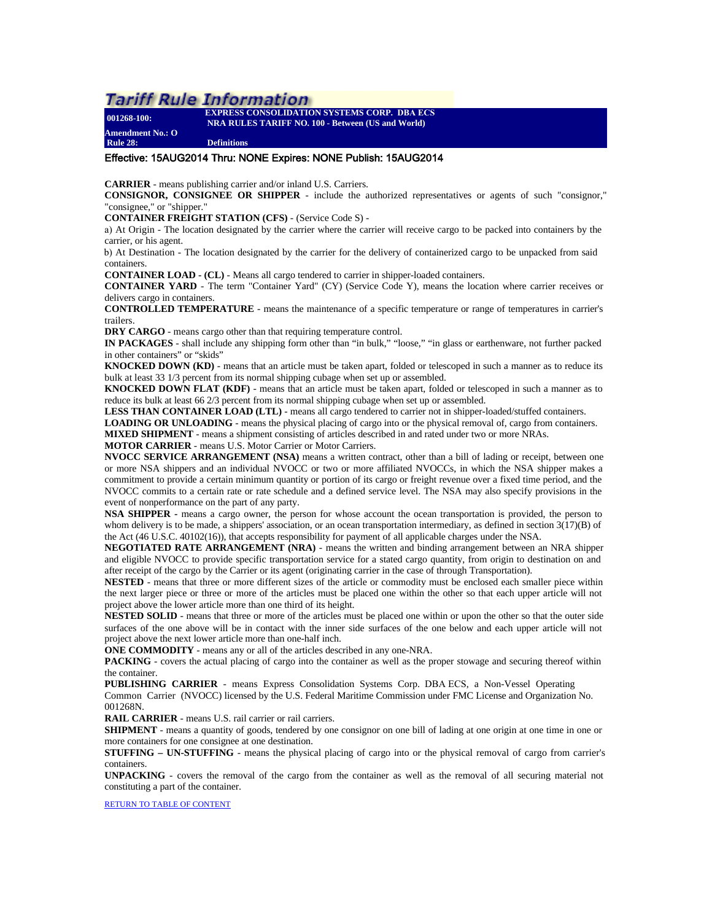**Amendment No.: O**

**001268-100: EXPRESS CONSOLIDATION SYSTEMS CORP. DBA ECS NRA RULES TARIFF NO. 100 - Between (US and World)**

<span id="page-24-0"></span>**Rule 28: Definitions**

#### Effective: 15AUG2014 Thru: NONE Expires: NONE Publish: 15AUG2014

**CARRIER** - means publishing carrier and/or inland U.S. Carriers.

**CONSIGNOR, CONSIGNEE OR SHIPPER** - include the authorized representatives or agents of such "consignor," "consignee," or "shipper."

**CONTAINER FREIGHT STATION (CFS)** - (Service Code S) -

a) At Origin - The location designated by the carrier where the carrier will receive cargo to be packed into containers by the carrier, or his agent.

b) At Destination - The location designated by the carrier for the delivery of containerized cargo to be unpacked from said containers.

**CONTAINER LOAD - (CL)** - Means all cargo tendered to carrier in shipper-loaded containers.

**CONTAINER YARD** - The term "Container Yard" (CY) (Service Code Y), means the location where carrier receives or delivers cargo in containers.

**CONTROLLED TEMPERATURE** - means the maintenance of a specific temperature or range of temperatures in carrier's trailers.

**DRY CARGO** - means cargo other than that requiring temperature control.

**IN PACKAGES** - shall include any shipping form other than "in bulk," "loose," "in glass or earthenware, not further packed in other containers" or "skids"

**KNOCKED DOWN (KD)** - means that an article must be taken apart, folded or telescoped in such a manner as to reduce its bulk at least 33 1/3 percent from its normal shipping cubage when set up or assembled.

**KNOCKED DOWN FLAT (KDF)** - means that an article must be taken apart, folded or telescoped in such a manner as to reduce its bulk at least 66 2/3 percent from its normal shipping cubage when set up or assembled.

**LESS THAN CONTAINER LOAD (LTL)** - means all cargo tendered to carrier not in shipper-loaded/stuffed containers.

**LOADING OR UNLOADING** - means the physical placing of cargo into or the physical removal of, cargo from containers.

**MIXED SHIPMENT** - means a shipment consisting of articles described in and rated under two or more NRAs.

**MOTOR CARRIER** - means U.S. Motor Carrier or Motor Carriers.

**NVOCC SERVICE ARRANGEMENT (NSA)** means a written contract, other than a bill of lading or receipt, between one or more NSA shippers and an individual NVOCC or two or more affiliated NVOCCs, in which the NSA shipper makes a commitment to provide a certain minimum quantity or portion of its cargo or freight revenue over a fixed time period, and the NVOCC commits to a certain rate or rate schedule and a defined service level. The NSA may also specify provisions in the event of nonperformance on the part of any party.

**NSA SHIPPER -** means a cargo owner, the person for whose account the ocean transportation is provided, the person to whom delivery is to be made, a shippers' association, or an ocean transportation intermediary, as defined in section  $3(17)(B)$  of the Act (46 U.S.C. 40102(16)), that accepts responsibility for payment of all applicable charges under the NSA.

**NEGOTIATED RATE ARRANGEMENT (NRA)** - means the written and binding arrangement between an NRA shipper and eligible NVOCC to provide specific transportation service for a stated cargo quantity, from origin to destination on and after receipt of the cargo by the Carrier or its agent (originating carrier in the case of through Transportation).

**NESTED** - means that three or more different sizes of the article or commodity must be enclosed each smaller piece within the next larger piece or three or more of the articles must be placed one within the other so that each upper article will not project above the lower article more than one third of its height.

**NESTED SOLID** - means that three or more of the articles must be placed one within or upon the other so that the outer side surfaces of the one above will be in contact with the inner side surfaces of the one below and each upper article will not project above the next lower article more than one-half inch.

**ONE COMMODITY** - means any or all of the articles described in any one-NRA.

**PACKING** - covers the actual placing of cargo into the container as well as the proper stowage and securing thereof within the container.

**PUBLISHING CARRIER** - means Express Consolidation Systems Corp. DBA ECS, a Non-Vessel Operating Common Carrier (NVOCC) licensed by the U.S. Federal Maritime Commission under FMC License and Organization No. 001268N.

**RAIL CARRIER** - means U.S. rail carrier or rail carriers.

**SHIPMENT** - means a quantity of goods, tendered by one consignor on one bill of lading at one origin at one time in one or more containers for one consignee at one destination.

**STUFFING – UN-STUFFING** - means the physical placing of cargo into or the physical removal of cargo from carrier's containers.

**UNPACKING** - covers the removal of the cargo from the container as well as the removal of all securing material not [constituting a part of the containe](#page-2-0)r.

RETURN TO TABLE OF CONTENT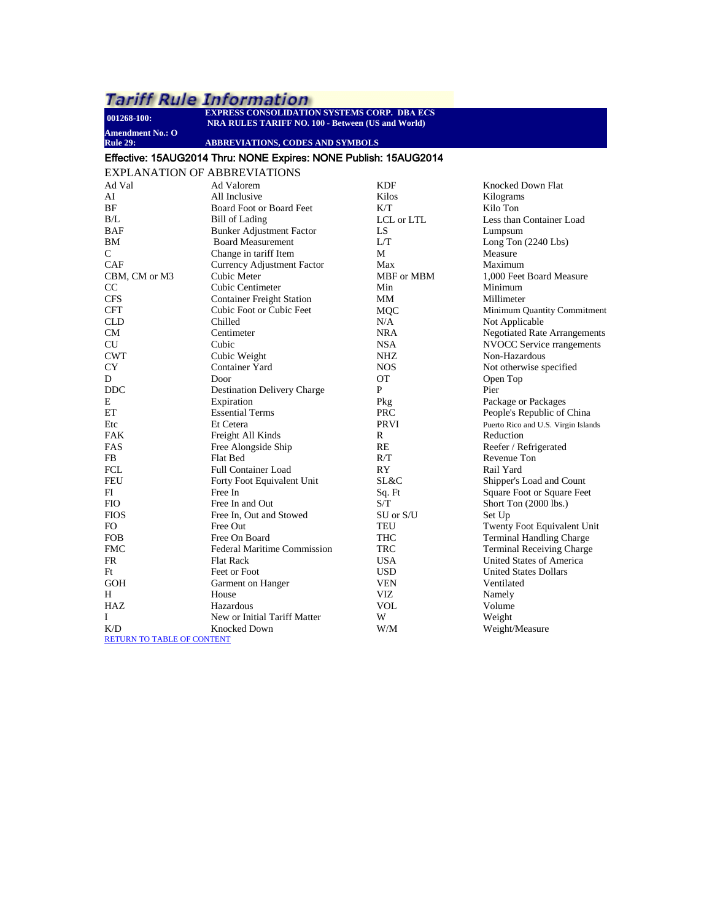# $\frac{1}{2}$  Tariff Rule Information

<span id="page-25-0"></span>

| 001268-100:                         | <b>EXPRESS CONSOLIDATION SYSTEMS CORP. DBA ECS</b><br><b>NRA RULES TARIFF NO. 100 - Between (US and World)</b> |            |                                     |  |  |
|-------------------------------------|----------------------------------------------------------------------------------------------------------------|------------|-------------------------------------|--|--|
| <b>Amendment No.: O</b>             |                                                                                                                |            |                                     |  |  |
| <b>Rule 29:</b>                     | ABBREVIATIONS, CODES AND SYMBOLS                                                                               |            |                                     |  |  |
|                                     | Effective: 15AUG2014 Thru: NONE Expires: NONE Publish: 15AUG2014                                               |            |                                     |  |  |
| <b>EXPLANATION OF ABBREVIATIONS</b> |                                                                                                                |            |                                     |  |  |
| Ad Val                              | Ad Valorem                                                                                                     | <b>KDF</b> | Knocked Down Flat                   |  |  |
| AI                                  | All Inclusive                                                                                                  | Kilos      | Kilograms                           |  |  |
| BF                                  | Board Foot or Board Feet                                                                                       | K/T        | Kilo Ton                            |  |  |
| B/L                                 | <b>Bill of Lading</b>                                                                                          | LCL or LTL | Less than Container Load            |  |  |
| BAF                                 | <b>Bunker Adjustment Factor</b>                                                                                | LS         | Lumpsum                             |  |  |
| <b>BM</b>                           | <b>Board Measurement</b>                                                                                       | L/T        | Long Ton $(2240$ Lbs)               |  |  |
| C                                   | Change in tariff Item                                                                                          | М          | Measure                             |  |  |
| CAF                                 | Currency Adjustment Factor                                                                                     | Max        | Maximum                             |  |  |
| CBM, CM or M3                       | Cubic Meter                                                                                                    | MBF or MBM | 1,000 Feet Board Measure            |  |  |
| CC                                  | Cubic Centimeter                                                                                               | Min        | Minimum                             |  |  |
| <b>CFS</b>                          | <b>Container Freight Station</b>                                                                               | MМ         | Millimeter                          |  |  |
| <b>CFT</b>                          | Cubic Foot or Cubic Feet                                                                                       | MQC        | Minimum Quantity Commitment         |  |  |
| <b>CLD</b>                          | Chilled                                                                                                        | N/A        | Not Applicable                      |  |  |
| CM                                  | Centimeter                                                                                                     | <b>NRA</b> | <b>Negotiated Rate Arrangements</b> |  |  |
| CU                                  | Cubic                                                                                                          | <b>NSA</b> | NVOCC Service rrangements           |  |  |
| <b>CWT</b>                          | Cubic Weight                                                                                                   | NHZ        | Non-Hazardous                       |  |  |
| <b>CY</b>                           | Container Yard                                                                                                 | <b>NOS</b> | Not otherwise specified             |  |  |
| D                                   | Door                                                                                                           | <b>OT</b>  | Open Top                            |  |  |
| <b>DDC</b>                          | <b>Destination Delivery Charge</b>                                                                             | P          | Pier                                |  |  |
| E                                   | Expiration                                                                                                     | Pkg        | Package or Packages                 |  |  |
| EТ                                  | <b>Essential Terms</b>                                                                                         | <b>PRC</b> | People's Republic of China          |  |  |
| Etc                                 | Et Cetera                                                                                                      | PRVI       | Puerto Rico and U.S. Virgin Islands |  |  |
| FAK                                 | Freight All Kinds                                                                                              | R          | Reduction                           |  |  |
| FAS                                 | Free Alongside Ship                                                                                            | <b>RE</b>  | Reefer / Refrigerated               |  |  |
| FB.                                 | Flat Bed                                                                                                       | R/T        | Revenue Ton                         |  |  |
| FCL                                 | <b>Full Container Load</b>                                                                                     | RY         | Rail Yard                           |  |  |
| FEU                                 | Forty Foot Equivalent Unit                                                                                     | SL&C       | Shipper's Load and Count            |  |  |
| FI                                  | Free In                                                                                                        | Sq. Ft     | Square Foot or Square Feet          |  |  |
| <b>FIO</b>                          | Free In and Out                                                                                                | S/T        | Short Ton (2000 lbs.)               |  |  |
| <b>FIOS</b>                         | Free In, Out and Stowed                                                                                        | SU or S/U  | Set Up                              |  |  |
| FO.                                 | Free Out                                                                                                       | TEU        | Twenty Foot Equivalent Unit         |  |  |
| <b>FOB</b>                          | Free On Board                                                                                                  | <b>THC</b> | <b>Terminal Handling Charge</b>     |  |  |
| <b>FMC</b>                          | <b>Federal Maritime Commission</b>                                                                             | TRC        | <b>Terminal Receiving Charge</b>    |  |  |
| FR                                  | <b>Flat Rack</b>                                                                                               | <b>USA</b> | United States of America            |  |  |
| Ft                                  | Feet or Foot                                                                                                   | <b>USD</b> | <b>United States Dollars</b>        |  |  |
| <b>GOH</b>                          | Garment on Hanger                                                                                              | <b>VEN</b> | Ventilated                          |  |  |
| H                                   | House                                                                                                          | VIZ        | Namely                              |  |  |
| HAZ                                 | Hazardous                                                                                                      | <b>VOL</b> | Volume                              |  |  |
| Ι                                   | New or Initial Tariff Matter                                                                                   | W          | Weight                              |  |  |
| K/D                                 | <b>Knocked Down</b>                                                                                            | W/M        | Weight/Measure                      |  |  |
| RETURN TO TABLE OF CONTENT          |                                                                                                                |            |                                     |  |  |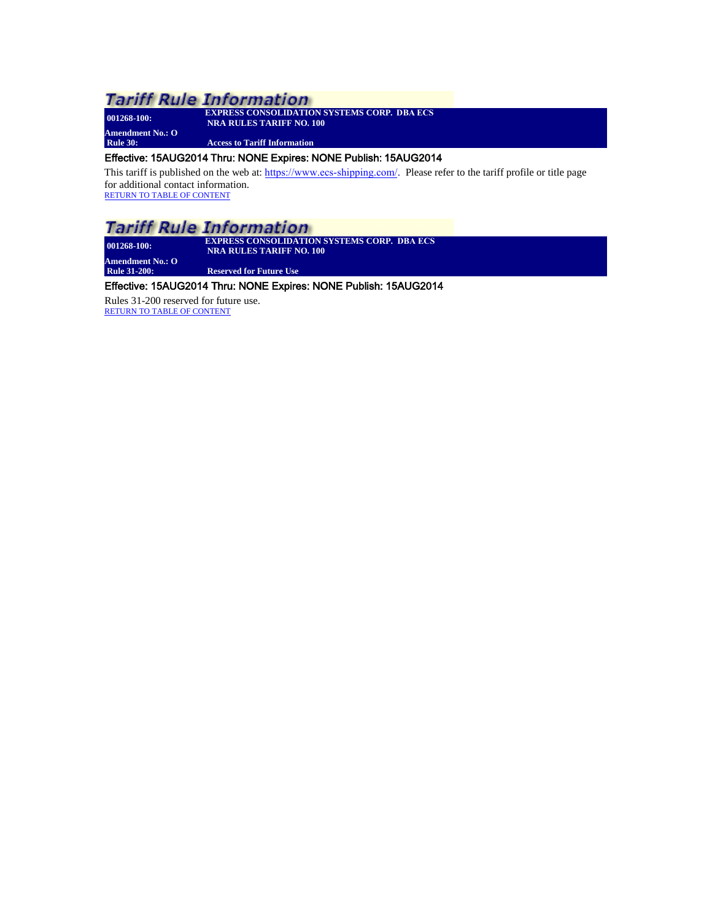**Amendment No.: O**

**001268-100: EXPRESS CONSOLIDATION SYSTEMS CORP. DBA ECS NRA RULES TARIFF NO. 100**

**Access to Tariff Information** 

## <span id="page-26-0"></span>Effective: 15AUG2014 Thru: NONE Expires: NONE Publish: 15AUG2014

This tariff is published on the web at: <https://www.ecs-shipping.com/>. Please refer to the tariff profile or title page for additional contact information. RETURN TO TABLE [OF CONTENT](#page-2-0)

## **Tariff Rule Information**

**Amendment No.: O**

**001268-100: EXPRESS CONSOLIDATION SYSTEMS CORP. DBA ECS NRA RULES TARIFF NO. 100**

<span id="page-26-1"></span>**Reserved for Future Use** 

## Effective: 15AUG2014 Thru: NONE Expires: NONE Publish: 15AUG2014

Rules 31-200 reserved for future use. [RETURN TO TABLE OF CONTENT](#page-2-0)